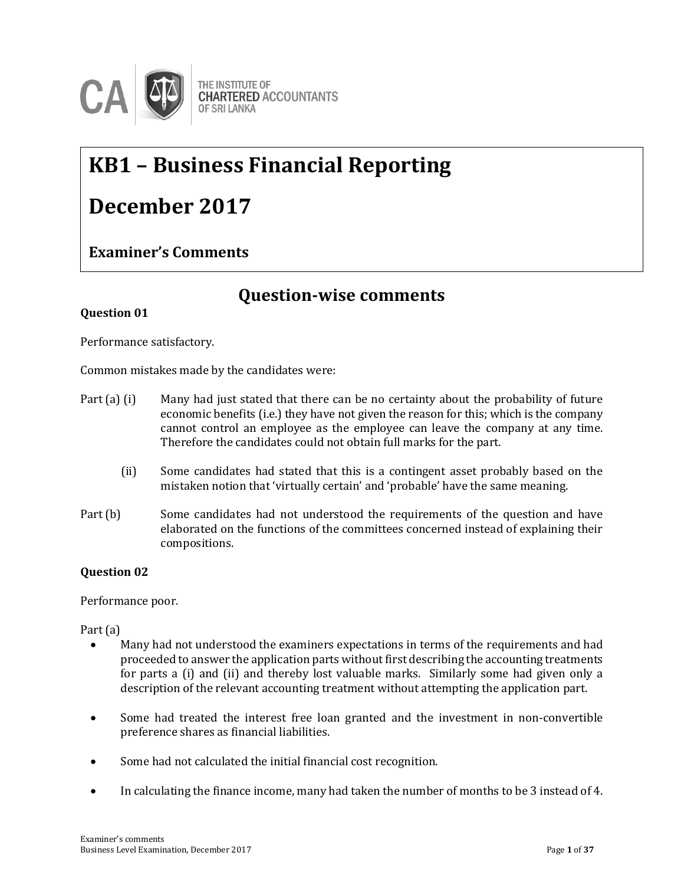

## **KB1 – Business Financial Reporting**

## **December 2017**

#### **Examiner's Comments**

### **Question-wise comments**

#### **Question 01**

Performance satisfactory.

Common mistakes made by the candidates were:

- Part (a) (i) Many had just stated that there can be no certainty about the probability of future economic benefits (i.e.) they have not given the reason for this; which is the company cannot control an employee as the employee can leave the company at any time. Therefore the candidates could not obtain full marks for the part.
	- (ii) Some candidates had stated that this is a contingent asset probably based on the mistaken notion that 'virtually certain' and 'probable' have the same meaning.
- Part (b) Some candidates had not understood the requirements of the question and have elaborated on the functions of the committees concerned instead of explaining their compositions.

#### **Question 02**

Performance poor.

Part (a)

- Many had not understood the examiners expectations in terms of the requirements and had proceeded to answer the application parts without first describing the accounting treatments for parts a (i) and (ii) and thereby lost valuable marks. Similarly some had given only a description of the relevant accounting treatment without attempting the application part.
- Some had treated the interest free loan granted and the investment in non-convertible preference shares as financial liabilities.
- Some had not calculated the initial financial cost recognition.
- In calculating the finance income, many had taken the number of months to be 3 instead of 4.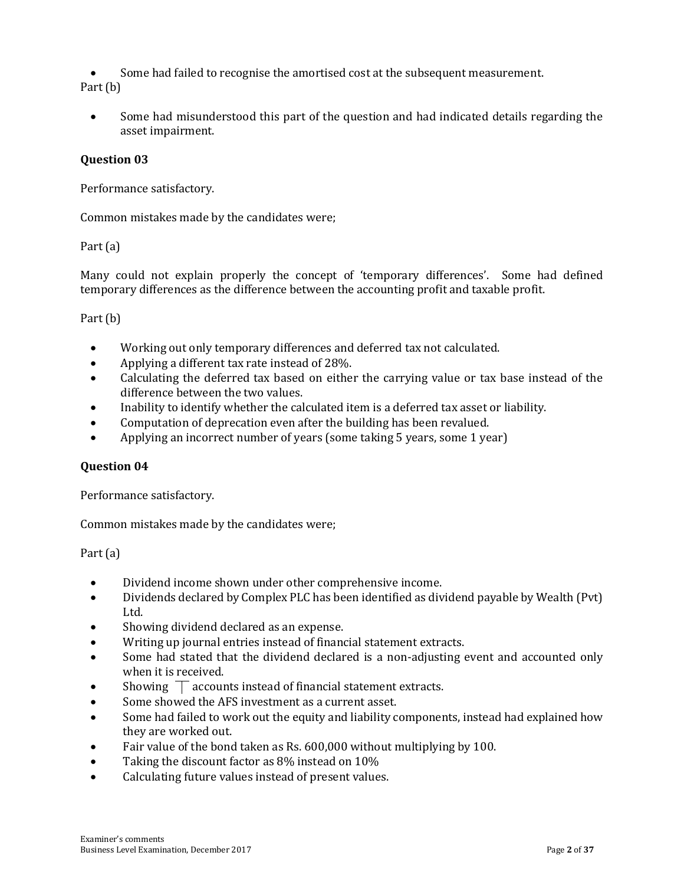Some had failed to recognise the amortised cost at the subsequent measurement. Part (b)

 Some had misunderstood this part of the question and had indicated details regarding the asset impairment.

#### **Question 03**

Performance satisfactory.

Common mistakes made by the candidates were;

#### Part (a)

Many could not explain properly the concept of 'temporary differences'. Some had defined temporary differences as the difference between the accounting profit and taxable profit.

#### Part (b)

- Working out only temporary differences and deferred tax not calculated.
- Applying a different tax rate instead of 28%.
- Calculating the deferred tax based on either the carrying value or tax base instead of the difference between the two values.
- Inability to identify whether the calculated item is a deferred tax asset or liability.
- Computation of deprecation even after the building has been revalued.
- Applying an incorrect number of years (some taking 5 years, some 1 year)

#### **Question 04**

Performance satisfactory.

Common mistakes made by the candidates were;

Part (a)

- Dividend income shown under other comprehensive income.
- Dividends declared by Complex PLC has been identified as dividend payable by Wealth (Pvt) Ltd.
- Showing dividend declared as an expense.
- Writing up journal entries instead of financial statement extracts.
- Some had stated that the dividend declared is a non-adjusting event and accounted only when it is received.
- Showing  $\top$  accounts instead of financial statement extracts.
- Some showed the AFS investment as a current asset.
- Some had failed to work out the equity and liability components, instead had explained how they are worked out.
- Fair value of the bond taken as Rs. 600,000 without multiplying by 100.
- Taking the discount factor as 8% instead on 10%
- Calculating future values instead of present values.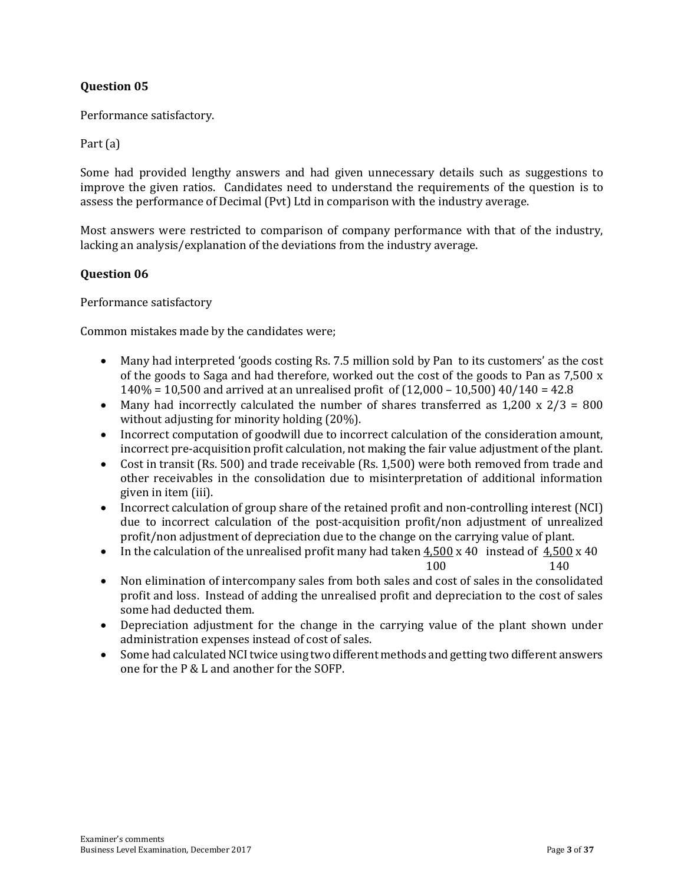#### **Question 05**

Performance satisfactory.

#### Part (a)

Some had provided lengthy answers and had given unnecessary details such as suggestions to improve the given ratios. Candidates need to understand the requirements of the question is to assess the performance of Decimal (Pvt) Ltd in comparison with the industry average.

Most answers were restricted to comparison of company performance with that of the industry, lacking an analysis/explanation of the deviations from the industry average.

#### **Question 06**

Performance satisfactory

Common mistakes made by the candidates were;

- Many had interpreted 'goods costing Rs. 7.5 million sold by Pan to its customers' as the cost of the goods to Saga and had therefore, worked out the cost of the goods to Pan as 7,500 x 140% = 10,500 and arrived at an unrealised profit of (12,000 – 10,500) 40/140 = 42.8
- Many had incorrectly calculated the number of shares transferred as  $1,200 \times 2/3 = 800$ without adjusting for minority holding (20%).
- Incorrect computation of goodwill due to incorrect calculation of the consideration amount, incorrect pre-acquisition profit calculation, not making the fair value adjustment of the plant.
- Cost in transit (Rs. 500) and trade receivable (Rs. 1,500) were both removed from trade and other receivables in the consolidation due to misinterpretation of additional information given in item (iii).
- Incorrect calculation of group share of the retained profit and non-controlling interest (NCI) due to incorrect calculation of the post-acquisition profit/non adjustment of unrealized profit/non adjustment of depreciation due to the change on the carrying value of plant.
- In the calculation of the unrealised profit many had taken  $4,500 \times 40$  instead of  $4,500 \times 40$
- 100 140 Non elimination of intercompany sales from both sales and cost of sales in the consolidated profit and loss. Instead of adding the unrealised profit and depreciation to the cost of sales some had deducted them.
- Depreciation adjustment for the change in the carrying value of the plant shown under administration expenses instead of cost of sales.
- Some had calculated NCI twice using two different methods and getting two different answers one for the P & L and another for the SOFP.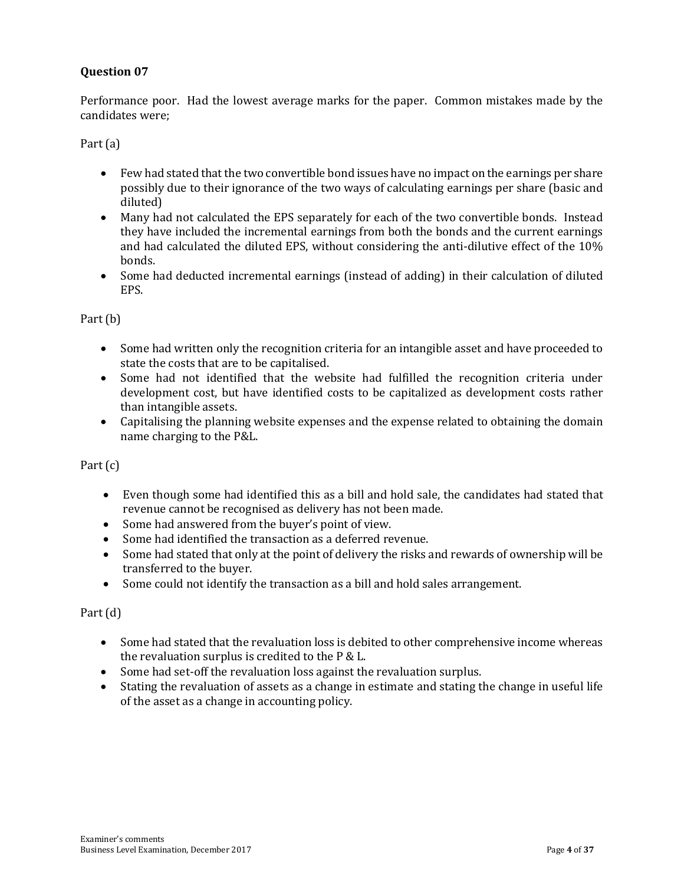#### **Question 07**

Performance poor. Had the lowest average marks for the paper. Common mistakes made by the candidates were;

Part (a)

- Few had stated that the two convertible bond issues have no impact on the earnings per share possibly due to their ignorance of the two ways of calculating earnings per share (basic and diluted)
- Many had not calculated the EPS separately for each of the two convertible bonds. Instead they have included the incremental earnings from both the bonds and the current earnings and had calculated the diluted EPS, without considering the anti-dilutive effect of the 10% bonds.
- Some had deducted incremental earnings (instead of adding) in their calculation of diluted EPS.

#### Part (b)

- Some had written only the recognition criteria for an intangible asset and have proceeded to state the costs that are to be capitalised.
- Some had not identified that the website had fulfilled the recognition criteria under development cost, but have identified costs to be capitalized as development costs rather than intangible assets.
- Capitalising the planning website expenses and the expense related to obtaining the domain name charging to the P&L.

#### Part (c)

- Even though some had identified this as a bill and hold sale, the candidates had stated that revenue cannot be recognised as delivery has not been made.
- Some had answered from the buyer's point of view.
- Some had identified the transaction as a deferred revenue.
- Some had stated that only at the point of delivery the risks and rewards of ownership will be transferred to the buyer.
- Some could not identify the transaction as a bill and hold sales arrangement.

#### Part (d)

- Some had stated that the revaluation loss is debited to other comprehensive income whereas the revaluation surplus is credited to the P & L.
- Some had set-off the revaluation loss against the revaluation surplus.
- Stating the revaluation of assets as a change in estimate and stating the change in useful life of the asset as a change in accounting policy.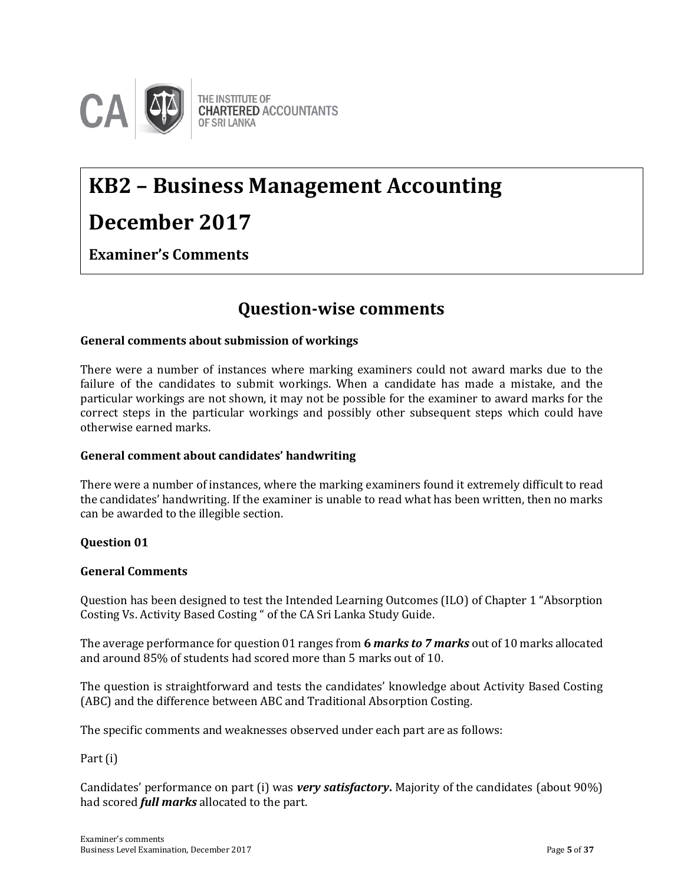

# **KB2 – Business Management Accounting**

### **December 2017**

**Examiner's Comments**

### **Question-wise comments**

#### **General comments about submission of workings**

There were a number of instances where marking examiners could not award marks due to the failure of the candidates to submit workings. When a candidate has made a mistake, and the particular workings are not shown, it may not be possible for the examiner to award marks for the correct steps in the particular workings and possibly other subsequent steps which could have otherwise earned marks.

#### **General comment about candidates' handwriting**

There were a number of instances, where the marking examiners found it extremely difficult to read the candidates' handwriting. If the examiner is unable to read what has been written, then no marks can be awarded to the illegible section.

#### **Question 01**

#### **General Comments**

Question has been designed to test the Intended Learning Outcomes (ILO) of Chapter 1 "Absorption Costing Vs. Activity Based Costing " of the CA Sri Lanka Study Guide.

The average performance for question 01 ranges from **6** *marks to 7 marks* out of 10 marks allocated and around 85% of students had scored more than 5 marks out of 10.

The question is straightforward and tests the candidates' knowledge about Activity Based Costing (ABC) and the difference between ABC and Traditional Absorption Costing.

The specific comments and weaknesses observed under each part are as follows:

Part (i)

Candidates' performance on part (i) was *very satisfactory***.** Majority of the candidates (about 90%) had scored *full marks* allocated to the part.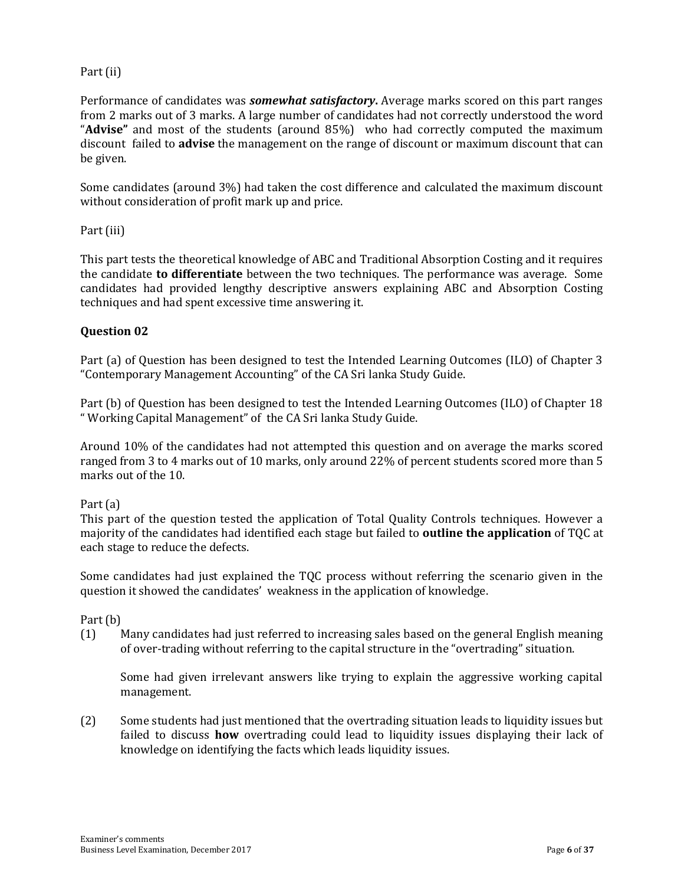#### Part (ii)

Performance of candidates was *somewhat satisfactory***.** Average marks scored on this part ranges from 2 marks out of 3 marks. A large number of candidates had not correctly understood the word "**Advise"** and most of the students (around 85%) who had correctly computed the maximum discount failed to **advise** the management on the range of discount or maximum discount that can be given.

Some candidates (around 3%) had taken the cost difference and calculated the maximum discount without consideration of profit mark up and price.

Part (iii)

This part tests the theoretical knowledge of ABC and Traditional Absorption Costing and it requires the candidate **to differentiate** between the two techniques. The performance was average. Some candidates had provided lengthy descriptive answers explaining ABC and Absorption Costing techniques and had spent excessive time answering it.

#### **Question 02**

Part (a) of Question has been designed to test the Intended Learning Outcomes (ILO) of Chapter 3 "Contemporary Management Accounting" of the CA Sri lanka Study Guide.

Part (b) of Question has been designed to test the Intended Learning Outcomes (ILO) of Chapter 18 " Working Capital Management" of the CA Sri lanka Study Guide.

Around 10% of the candidates had not attempted this question and on average the marks scored ranged from 3 to 4 marks out of 10 marks, only around 22% of percent students scored more than 5 marks out of the 10.

Part (a)

This part of the question tested the application of Total Quality Controls techniques. However a majority of the candidates had identified each stage but failed to **outline the application** of TQC at each stage to reduce the defects.

Some candidates had just explained the TQC process without referring the scenario given in the question it showed the candidates' weakness in the application of knowledge.

Part (b)

(1) Many candidates had just referred to increasing sales based on the general English meaning of over-trading without referring to the capital structure in the "overtrading" situation.

Some had given irrelevant answers like trying to explain the aggressive working capital management.

(2) Some students had just mentioned that the overtrading situation leads to liquidity issues but failed to discuss **how** overtrading could lead to liquidity issues displaying their lack of knowledge on identifying the facts which leads liquidity issues.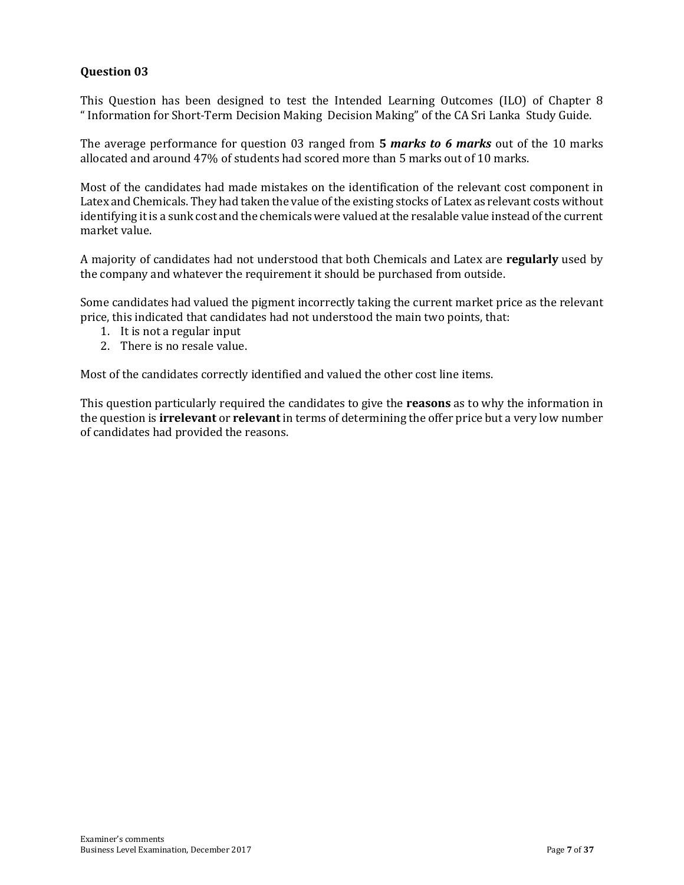#### **Question 03**

This Question has been designed to test the Intended Learning Outcomes (ILO) of Chapter 8 " Information for Short-Term Decision Making Decision Making" of the CA Sri Lanka Study Guide.

The average performance for question 03 ranged from **5** *marks to 6 marks* out of the 10 marks allocated and around 47% of students had scored more than 5 marks out of 10 marks.

Most of the candidates had made mistakes on the identification of the relevant cost component in Latex and Chemicals. They had taken the value of the existing stocks of Latex as relevant costs without identifying it is a sunk cost and the chemicals were valued at the resalable value instead of the current market value.

A majority of candidates had not understood that both Chemicals and Latex are **regularly** used by the company and whatever the requirement it should be purchased from outside.

Some candidates had valued the pigment incorrectly taking the current market price as the relevant price, this indicated that candidates had not understood the main two points, that:

- 1. It is not a regular input
- 2. There is no resale value.

Most of the candidates correctly identified and valued the other cost line items.

This question particularly required the candidates to give the **reasons** as to why the information in the question is **irrelevant** or **relevant** in terms of determining the offer price but a very low number of candidates had provided the reasons.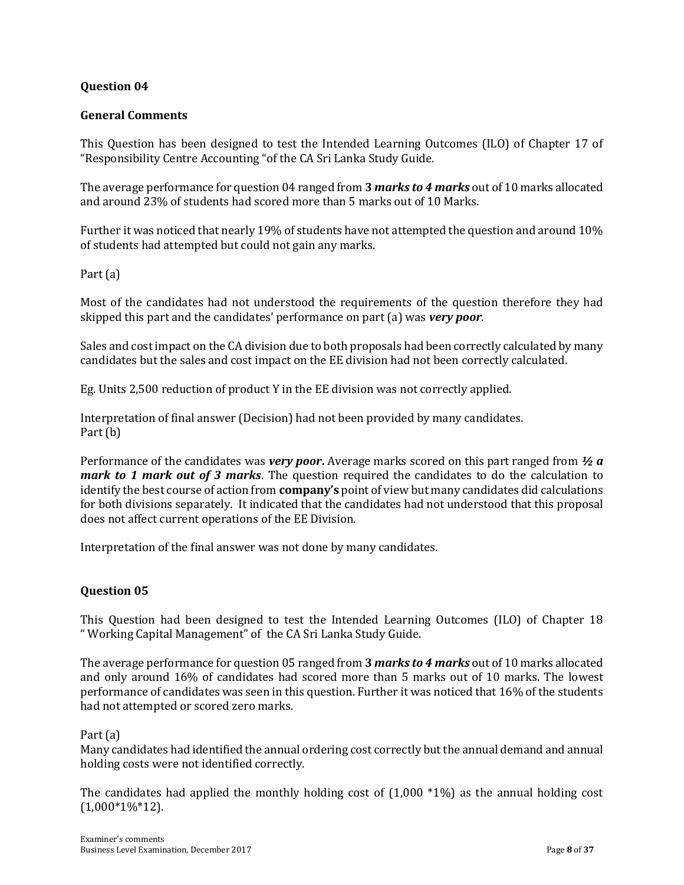#### **Question 04**

#### **General Comments**

This Question has been designed to test the Intended Learning Outcomes (ILO) of Chapter 17 of "Responsibility Centre Accounting "of the CA Sri Lanka Study Guide.

The average performance for question 04 ranged from **3** *marks to 4 marks* out of 10 marks allocated and around 23% of students had scored more than 5 marks out of 10 Marks.

Further it was noticed that nearly 19% of students have not attempted the question and around 10% of students had attempted but could not gain any marks.

Part (a)

Most of the candidates had not understood the requirements of the question therefore they had skipped this part and the candidates' performance on part (a) was *very poor*.

Sales and cost impact on the CA division due to both proposals had been correctly calculated by many candidates but the sales and cost impact on the EE division had not been correctly calculated.

Eg. Units 2,500 reduction of product Y in the EE division was not correctly applied.

Interpretation of final answer (Decision) had not been provided by many candidates. Part (b)

Performance of the candidates was *very poor***.** Average marks scored on this part ranged from *½ a mark to 1 mark out of 3 marks*. The question required the candidates to do the calculation to identify the best course of action from **company's** point of view but many candidates did calculations for both divisions separately. It indicated that the candidates had not understood that this proposal does not affect current operations of the EE Division.

Interpretation of the final answer was not done by many candidates.

#### **Question 05**

This Question had been designed to test the Intended Learning Outcomes (ILO) of Chapter 18 " Working Capital Management" of the CA Sri Lanka Study Guide.

The average performance for question 05 ranged from **3** *marks to 4 marks* out of 10 marks allocated and only around 16% of candidates had scored more than 5 marks out of 10 marks. The lowest performance of candidates was seen in this question. Further it was noticed that 16% of the students had not attempted or scored zero marks.

#### Part (a)

Many candidates had identified the annual ordering cost correctly but the annual demand and annual holding costs were not identified correctly.

The candidates had applied the monthly holding cost of  $(1,000 *1%)$  as the annual holding cost  $(1,000*1\%*12)$ .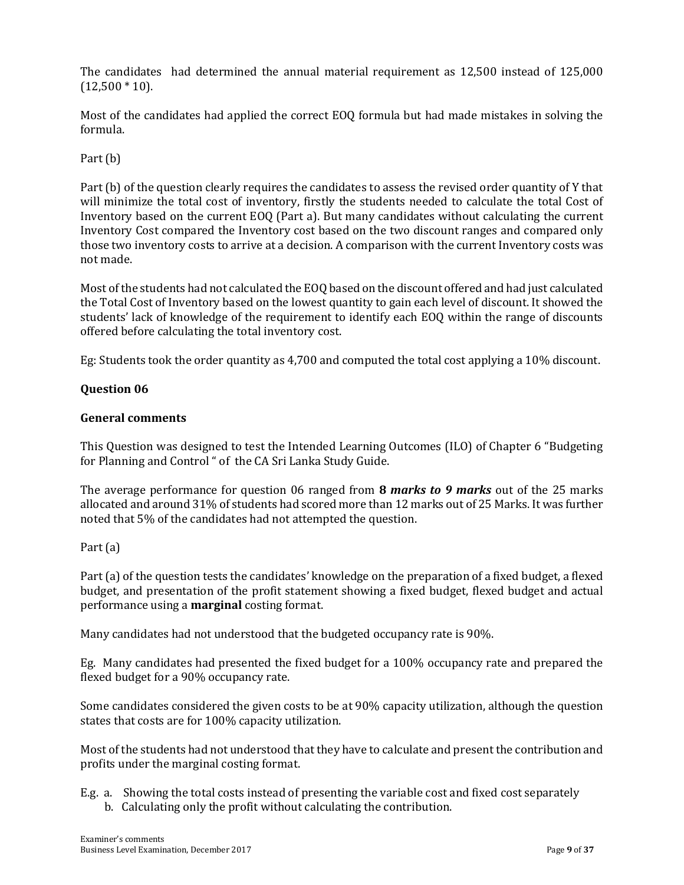The candidates had determined the annual material requirement as 12,500 instead of 125,000  $(12,500 * 10).$ 

Most of the candidates had applied the correct EOQ formula but had made mistakes in solving the formula.

Part (b)

Part (b) of the question clearly requires the candidates to assess the revised order quantity of Y that will minimize the total cost of inventory, firstly the students needed to calculate the total Cost of Inventory based on the current EOQ (Part a). But many candidates without calculating the current Inventory Cost compared the Inventory cost based on the two discount ranges and compared only those two inventory costs to arrive at a decision. A comparison with the current Inventory costs was not made.

Most of the students had not calculated the EOQ based on the discount offered and had just calculated the Total Cost of Inventory based on the lowest quantity to gain each level of discount. It showed the students' lack of knowledge of the requirement to identify each EOQ within the range of discounts offered before calculating the total inventory cost.

Eg: Students took the order quantity as 4,700 and computed the total cost applying a 10% discount.

#### **Question 06**

#### **General comments**

This Question was designed to test the Intended Learning Outcomes (ILO) of Chapter 6 "Budgeting for Planning and Control " of the CA Sri Lanka Study Guide.

The average performance for question 06 ranged from **8** *marks to 9 marks* out of the 25 marks allocated and around 31% of students had scored more than 12 marks out of 25 Marks. It was further noted that 5% of the candidates had not attempted the question.

#### Part (a)

Part (a) of the question tests the candidates' knowledge on the preparation of a fixed budget, a flexed budget, and presentation of the profit statement showing a fixed budget, flexed budget and actual performance using a **marginal** costing format.

Many candidates had not understood that the budgeted occupancy rate is 90%.

Eg. Many candidates had presented the fixed budget for a 100% occupancy rate and prepared the flexed budget for a 90% occupancy rate.

Some candidates considered the given costs to be at 90% capacity utilization, although the question states that costs are for 100% capacity utilization.

Most of the students had not understood that they have to calculate and present the contribution and profits under the marginal costing format.

E.g. a. Showing the total costs instead of presenting the variable cost and fixed cost separately b. Calculating only the profit without calculating the contribution.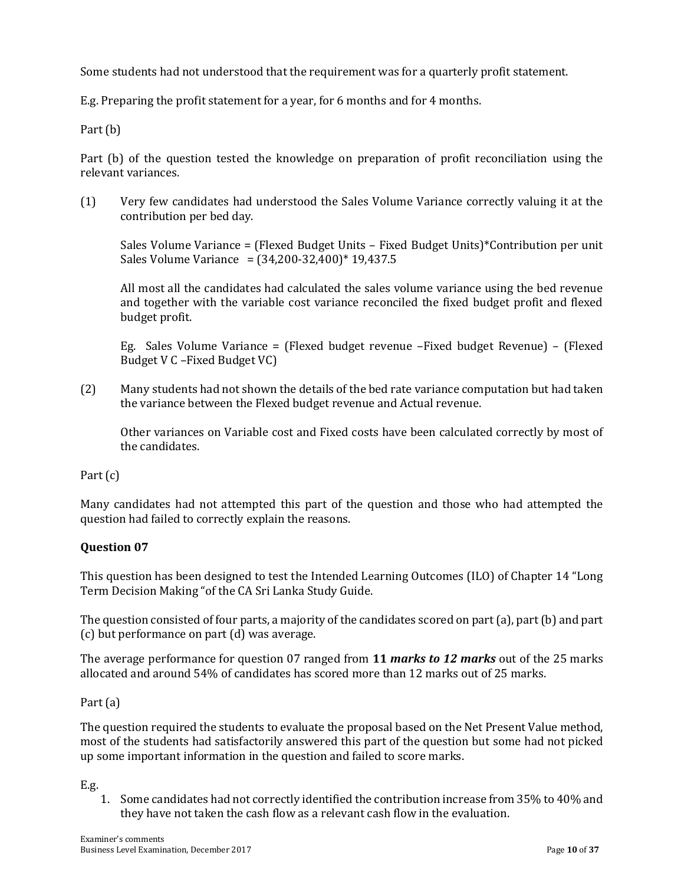Some students had not understood that the requirement was for a quarterly profit statement.

E.g. Preparing the profit statement for a year, for 6 months and for 4 months.

Part (b)

Part (b) of the question tested the knowledge on preparation of profit reconciliation using the relevant variances.

(1) Very few candidates had understood the Sales Volume Variance correctly valuing it at the contribution per bed day.

Sales Volume Variance = (Flexed Budget Units – Fixed Budget Units)\*Contribution per unit Sales Volume Variance =  $(34,200-32,400)*19,437.5$ 

All most all the candidates had calculated the sales volume variance using the bed revenue and together with the variable cost variance reconciled the fixed budget profit and flexed budget profit.

Eg. Sales Volume Variance = (Flexed budget revenue –Fixed budget Revenue) – (Flexed Budget V C –Fixed Budget VC)

(2) Many students had not shown the details of the bed rate variance computation but had taken the variance between the Flexed budget revenue and Actual revenue.

Other variances on Variable cost and Fixed costs have been calculated correctly by most of the candidates.

Part (c)

Many candidates had not attempted this part of the question and those who had attempted the question had failed to correctly explain the reasons.

#### **Question 07**

This question has been designed to test the Intended Learning Outcomes (ILO) of Chapter 14 "Long Term Decision Making "of the CA Sri Lanka Study Guide.

The question consisted of four parts, a majority of the candidates scored on part (a), part (b) and part (c) but performance on part (d) was average.

The average performance for question 07 ranged from **11** *marks to 12 marks* out of the 25 marks allocated and around 54% of candidates has scored more than 12 marks out of 25 marks.

Part (a)

The question required the students to evaluate the proposal based on the Net Present Value method, most of the students had satisfactorily answered this part of the question but some had not picked up some important information in the question and failed to score marks.

E.g.

1. Some candidates had not correctly identified the contribution increase from 35% to 40% and they have not taken the cash flow as a relevant cash flow in the evaluation.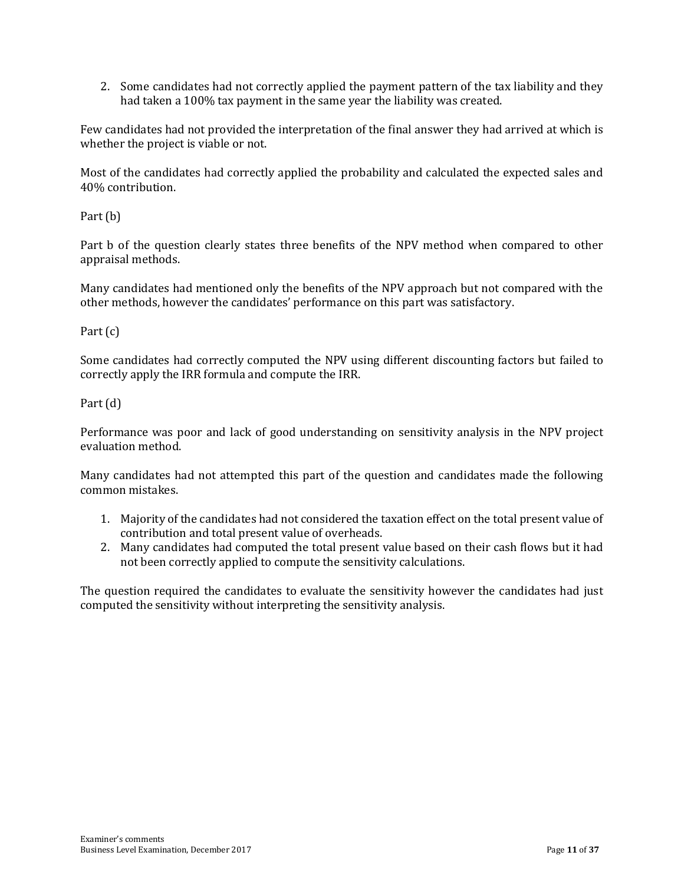2. Some candidates had not correctly applied the payment pattern of the tax liability and they had taken a 100% tax payment in the same year the liability was created.

Few candidates had not provided the interpretation of the final answer they had arrived at which is whether the project is viable or not.

Most of the candidates had correctly applied the probability and calculated the expected sales and 40% contribution.

Part (b)

Part b of the question clearly states three benefits of the NPV method when compared to other appraisal methods.

Many candidates had mentioned only the benefits of the NPV approach but not compared with the other methods, however the candidates' performance on this part was satisfactory.

Part (c)

Some candidates had correctly computed the NPV using different discounting factors but failed to correctly apply the IRR formula and compute the IRR.

Part (d)

Performance was poor and lack of good understanding on sensitivity analysis in the NPV project evaluation method.

Many candidates had not attempted this part of the question and candidates made the following common mistakes.

- 1. Majority of the candidates had not considered the taxation effect on the total present value of contribution and total present value of overheads.
- 2. Many candidates had computed the total present value based on their cash flows but it had not been correctly applied to compute the sensitivity calculations.

The question required the candidates to evaluate the sensitivity however the candidates had just computed the sensitivity without interpreting the sensitivity analysis.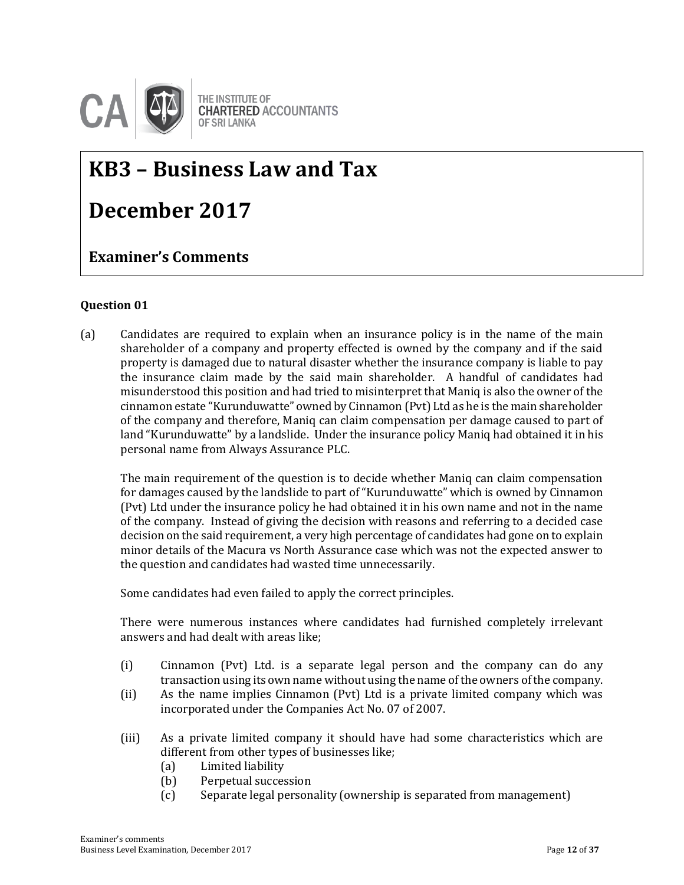

## **KB3 – Business Law and Tax**

## **December 2017**

**Question-wise comments Examiner's Comments**

#### **Question 01**

(a) Candidates are required to explain when an insurance policy is in the name of the main shareholder of a company and property effected is owned by the company and if the said property is damaged due to natural disaster whether the insurance company is liable to pay the insurance claim made by the said main shareholder. A handful of candidates had misunderstood this position and had tried to misinterpret that Maniq is also the owner of the cinnamon estate "Kurunduwatte" owned by Cinnamon (Pvt) Ltd as he is the main shareholder of the company and therefore, Maniq can claim compensation per damage caused to part of land "Kurunduwatte" by a landslide. Under the insurance policy Maniq had obtained it in his personal name from Always Assurance PLC.

The main requirement of the question is to decide whether Maniq can claim compensation for damages caused by the landslide to part of "Kurunduwatte" which is owned by Cinnamon (Pvt) Ltd under the insurance policy he had obtained it in his own name and not in the name of the company. Instead of giving the decision with reasons and referring to a decided case decision on the said requirement, a very high percentage of candidates had gone on to explain minor details of the Macura vs North Assurance case which was not the expected answer to the question and candidates had wasted time unnecessarily.

Some candidates had even failed to apply the correct principles.

There were numerous instances where candidates had furnished completely irrelevant answers and had dealt with areas like;

- (i) Cinnamon (Pvt) Ltd. is a separate legal person and the company can do any transaction using its own name without using the name of the owners of the company.
- (ii) As the name implies Cinnamon (Pvt) Ltd is a private limited company which was incorporated under the Companies Act No. 07 of 2007.
- (iii) As a private limited company it should have had some characteristics which are different from other types of businesses like;
	- (a) Limited liability
	- (b) Perpetual succession
	- (c) Separate legal personality (ownership is separated from management)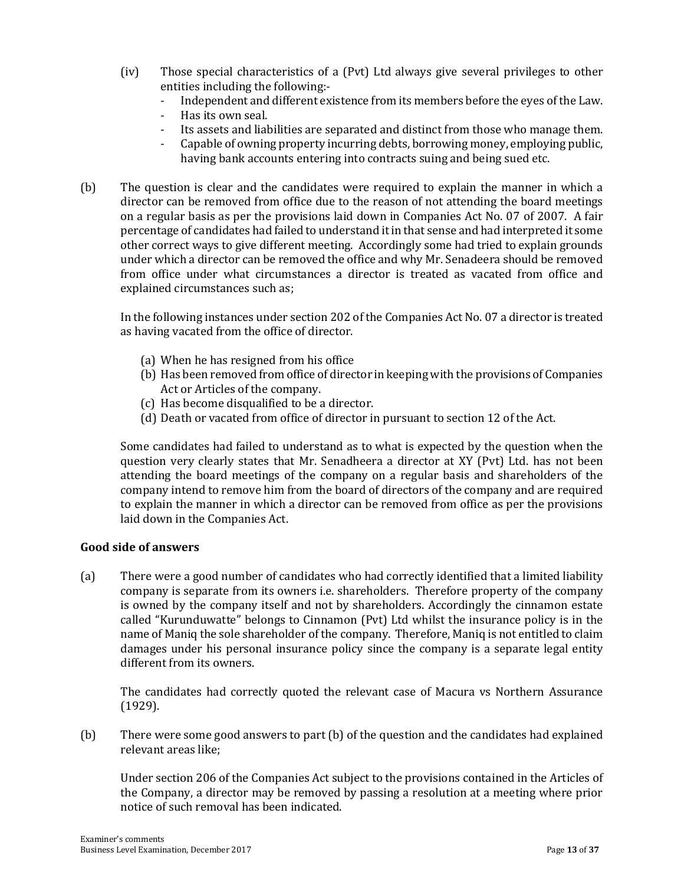- (iv) Those special characteristics of a (Pvt) Ltd always give several privileges to other entities including the following:-
	- Independent and different existence from its members before the eyes of the Law.
	- Has its own seal.
	- Its assets and liabilities are separated and distinct from those who manage them.
	- Capable of owning property incurring debts, borrowing money, employing public, having bank accounts entering into contracts suing and being sued etc.
- (b) The question is clear and the candidates were required to explain the manner in which a director can be removed from office due to the reason of not attending the board meetings on a regular basis as per the provisions laid down in Companies Act No. 07 of 2007. A fair percentage of candidates had failed to understand it in that sense and had interpreted it some other correct ways to give different meeting. Accordingly some had tried to explain grounds under which a director can be removed the office and why Mr. Senadeera should be removed from office under what circumstances a director is treated as vacated from office and explained circumstances such as;

In the following instances under section 202 of the Companies Act No. 07 a director is treated as having vacated from the office of director.

- (a) When he has resigned from his office
- (b) Has been removed from office of director in keeping with the provisions of Companies Act or Articles of the company.
- (c) Has become disqualified to be a director.
- (d) Death or vacated from office of director in pursuant to section 12 of the Act.

Some candidates had failed to understand as to what is expected by the question when the question very clearly states that Mr. Senadheera a director at XY (Pvt) Ltd. has not been attending the board meetings of the company on a regular basis and shareholders of the company intend to remove him from the board of directors of the company and are required to explain the manner in which a director can be removed from office as per the provisions laid down in the Companies Act.

#### **Good side of answers**

(a) There were a good number of candidates who had correctly identified that a limited liability company is separate from its owners i.e. shareholders. Therefore property of the company is owned by the company itself and not by shareholders. Accordingly the cinnamon estate called "Kurunduwatte" belongs to Cinnamon (Pvt) Ltd whilst the insurance policy is in the name of Maniq the sole shareholder of the company. Therefore, Maniq is not entitled to claim damages under his personal insurance policy since the company is a separate legal entity different from its owners.

The candidates had correctly quoted the relevant case of Macura vs Northern Assurance (1929).

(b) There were some good answers to part (b) of the question and the candidates had explained relevant areas like;

Under section 206 of the Companies Act subject to the provisions contained in the Articles of the Company, a director may be removed by passing a resolution at a meeting where prior notice of such removal has been indicated.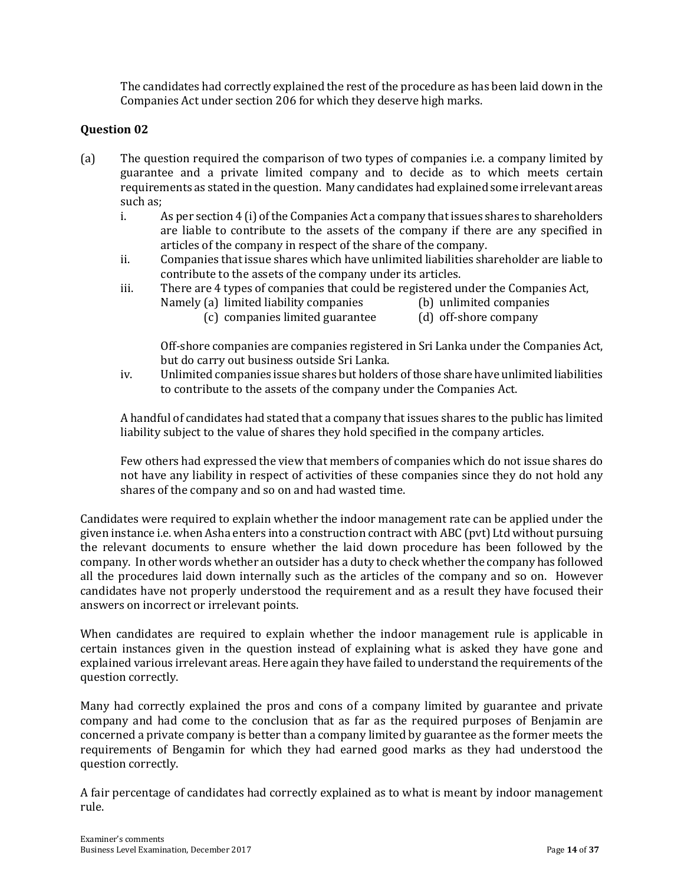The candidates had correctly explained the rest of the procedure as has been laid down in the Companies Act under section 206 for which they deserve high marks.

#### **Question 02**

- (a) The question required the comparison of two types of companies i.e. a company limited by guarantee and a private limited company and to decide as to which meets certain requirements as stated in the question. Many candidates had explained some irrelevant areas such as;
	- i. As per section 4 (i) of the Companies Act a company that issues shares to shareholders are liable to contribute to the assets of the company if there are any specified in articles of the company in respect of the share of the company.
	- ii. Companies that issue shares which have unlimited liabilities shareholder are liable to contribute to the assets of the company under its articles.
	- iii. There are 4 types of companies that could be registered under the Companies Act,
		- Namely (a) limited liability companies (b) unlimited companies
			-
			- (c) companies limited guarantee (d) off-shore company
				-

Off-shore companies are companies registered in Sri Lanka under the Companies Act, but do carry out business outside Sri Lanka.

iv. Unlimited companies issue shares but holders of those share have unlimited liabilities to contribute to the assets of the company under the Companies Act.

A handful of candidates had stated that a company that issues shares to the public has limited liability subject to the value of shares they hold specified in the company articles.

Few others had expressed the view that members of companies which do not issue shares do not have any liability in respect of activities of these companies since they do not hold any shares of the company and so on and had wasted time.

Candidates were required to explain whether the indoor management rate can be applied under the given instance i.e. when Asha enters into a construction contract with ABC (pvt) Ltd without pursuing the relevant documents to ensure whether the laid down procedure has been followed by the company. In other words whether an outsider has a duty to check whether the company has followed all the procedures laid down internally such as the articles of the company and so on. However candidates have not properly understood the requirement and as a result they have focused their answers on incorrect or irrelevant points.

When candidates are required to explain whether the indoor management rule is applicable in certain instances given in the question instead of explaining what is asked they have gone and explained various irrelevant areas. Here again they have failed to understand the requirements of the question correctly.

Many had correctly explained the pros and cons of a company limited by guarantee and private company and had come to the conclusion that as far as the required purposes of Benjamin are concerned a private company is better than a company limited by guarantee as the former meets the requirements of Bengamin for which they had earned good marks as they had understood the question correctly.

A fair percentage of candidates had correctly explained as to what is meant by indoor management rule.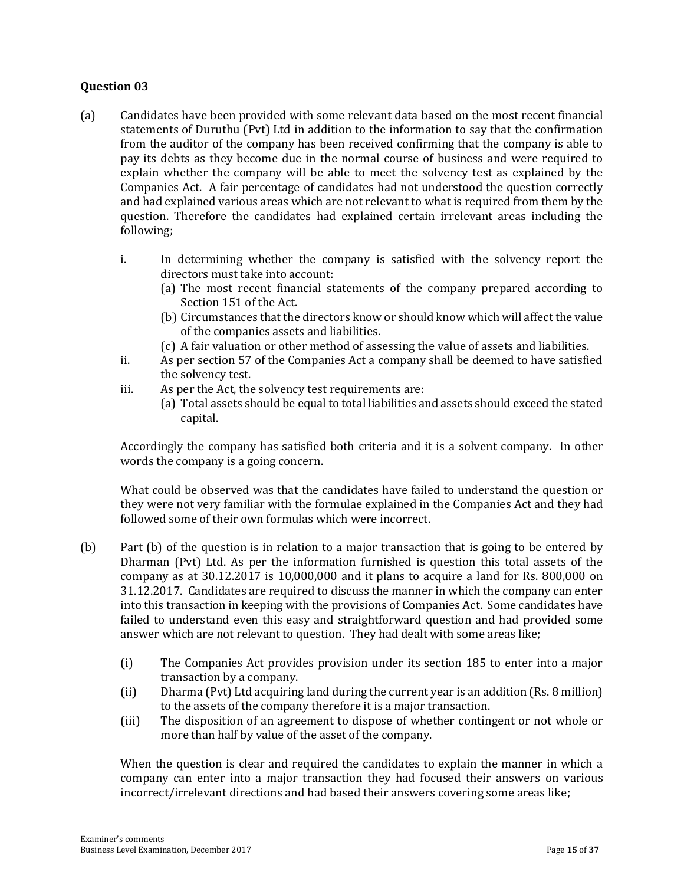#### **Question 03**

- (a) Candidates have been provided with some relevant data based on the most recent financial statements of Duruthu (Pvt) Ltd in addition to the information to say that the confirmation from the auditor of the company has been received confirming that the company is able to pay its debts as they become due in the normal course of business and were required to explain whether the company will be able to meet the solvency test as explained by the Companies Act. A fair percentage of candidates had not understood the question correctly and had explained various areas which are not relevant to what is required from them by the question. Therefore the candidates had explained certain irrelevant areas including the following;
	- i. In determining whether the company is satisfied with the solvency report the directors must take into account:
		- (a) The most recent financial statements of the company prepared according to Section 151 of the Act.
		- (b) Circumstances that the directors know or should know which will affect the value of the companies assets and liabilities.
		- (c) A fair valuation or other method of assessing the value of assets and liabilities.
	- ii. As per section 57 of the Companies Act a company shall be deemed to have satisfied the solvency test.
	- iii. As per the Act, the solvency test requirements are:
		- (a) Total assets should be equal to total liabilities and assets should exceed the stated capital.

Accordingly the company has satisfied both criteria and it is a solvent company. In other words the company is a going concern.

What could be observed was that the candidates have failed to understand the question or they were not very familiar with the formulae explained in the Companies Act and they had followed some of their own formulas which were incorrect.

- (b) Part (b) of the question is in relation to a major transaction that is going to be entered by Dharman (Pvt) Ltd. As per the information furnished is question this total assets of the company as at 30.12.2017 is 10,000,000 and it plans to acquire a land for Rs. 800,000 on 31.12.2017. Candidates are required to discuss the manner in which the company can enter into this transaction in keeping with the provisions of Companies Act. Some candidates have failed to understand even this easy and straightforward question and had provided some answer which are not relevant to question. They had dealt with some areas like;
	- (i) The Companies Act provides provision under its section 185 to enter into a major transaction by a company.
	- (ii) Dharma (Pvt) Ltd acquiring land during the current year is an addition (Rs. 8 million) to the assets of the company therefore it is a major transaction.
	- (iii) The disposition of an agreement to dispose of whether contingent or not whole or more than half by value of the asset of the company.

When the question is clear and required the candidates to explain the manner in which a company can enter into a major transaction they had focused their answers on various incorrect/irrelevant directions and had based their answers covering some areas like;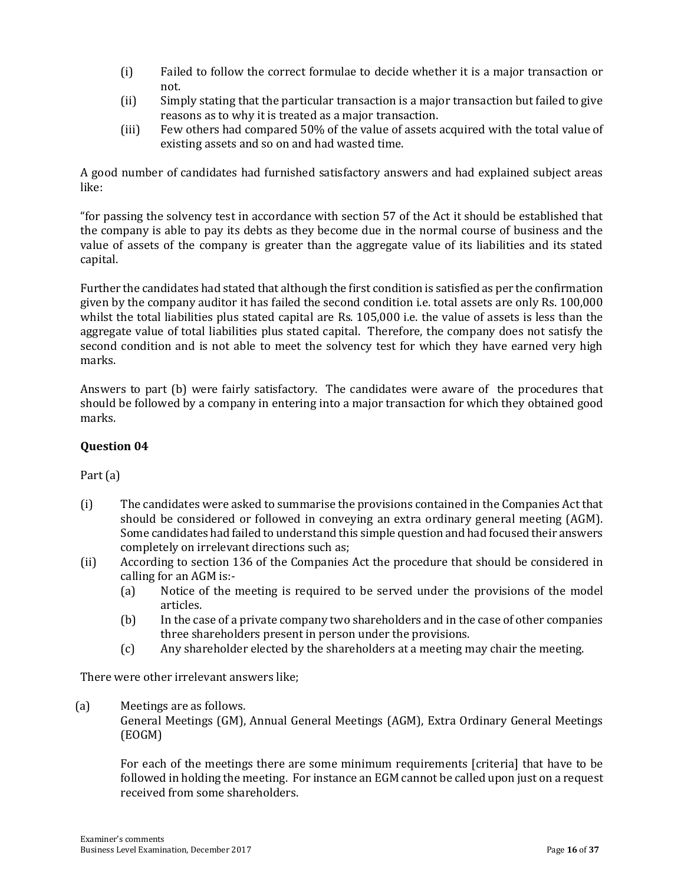- (i) Failed to follow the correct formulae to decide whether it is a major transaction or not.
- (ii) Simply stating that the particular transaction is a major transaction but failed to give reasons as to why it is treated as a major transaction.
- (iii) Few others had compared 50% of the value of assets acquired with the total value of existing assets and so on and had wasted time.

A good number of candidates had furnished satisfactory answers and had explained subject areas like:

"for passing the solvency test in accordance with section 57 of the Act it should be established that the company is able to pay its debts as they become due in the normal course of business and the value of assets of the company is greater than the aggregate value of its liabilities and its stated capital.

Further the candidates had stated that although the first condition is satisfied as per the confirmation given by the company auditor it has failed the second condition i.e. total assets are only Rs. 100,000 whilst the total liabilities plus stated capital are Rs. 105,000 i.e. the value of assets is less than the aggregate value of total liabilities plus stated capital. Therefore, the company does not satisfy the second condition and is not able to meet the solvency test for which they have earned very high marks.

Answers to part (b) were fairly satisfactory. The candidates were aware of the procedures that should be followed by a company in entering into a major transaction for which they obtained good marks.

#### **Question 04**

#### Part (a)

- (i) The candidates were asked to summarise the provisions contained in the Companies Act that should be considered or followed in conveying an extra ordinary general meeting (AGM). Some candidates had failed to understand this simple question and had focused their answers completely on irrelevant directions such as;
- (ii) According to section 136 of the Companies Act the procedure that should be considered in calling for an AGM is:-
	- (a) Notice of the meeting is required to be served under the provisions of the model articles.
	- (b) In the case of a private company two shareholders and in the case of other companies three shareholders present in person under the provisions.
	- (c) Any shareholder elected by the shareholders at a meeting may chair the meeting.

There were other irrelevant answers like;

(a) Meetings are as follows.

General Meetings (GM), Annual General Meetings (AGM), Extra Ordinary General Meetings (EOGM)

For each of the meetings there are some minimum requirements [criteria] that have to be followed in holding the meeting. For instance an EGM cannot be called upon just on a request received from some shareholders.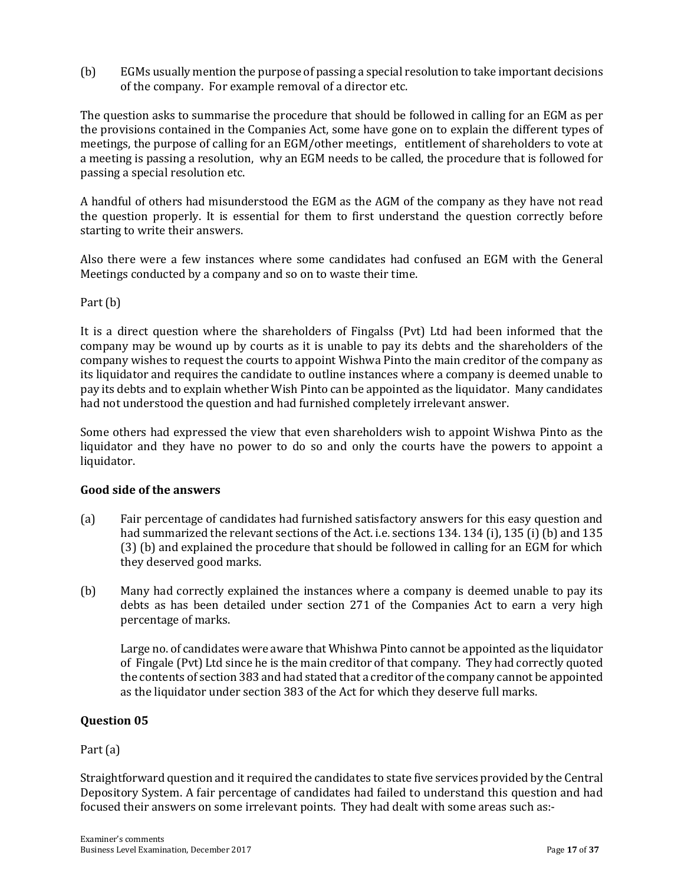(b) EGMs usually mention the purpose of passing a special resolution to take important decisions of the company. For example removal of a director etc.

The question asks to summarise the procedure that should be followed in calling for an EGM as per the provisions contained in the Companies Act, some have gone on to explain the different types of meetings, the purpose of calling for an EGM/other meetings, entitlement of shareholders to vote at a meeting is passing a resolution, why an EGM needs to be called, the procedure that is followed for passing a special resolution etc.

A handful of others had misunderstood the EGM as the AGM of the company as they have not read the question properly. It is essential for them to first understand the question correctly before starting to write their answers.

Also there were a few instances where some candidates had confused an EGM with the General Meetings conducted by a company and so on to waste their time.

Part (b)

It is a direct question where the shareholders of Fingalss (Pvt) Ltd had been informed that the company may be wound up by courts as it is unable to pay its debts and the shareholders of the company wishes to request the courts to appoint Wishwa Pinto the main creditor of the company as its liquidator and requires the candidate to outline instances where a company is deemed unable to pay its debts and to explain whether Wish Pinto can be appointed as the liquidator. Many candidates had not understood the question and had furnished completely irrelevant answer.

Some others had expressed the view that even shareholders wish to appoint Wishwa Pinto as the liquidator and they have no power to do so and only the courts have the powers to appoint a liquidator.

#### **Good side of the answers**

- (a) Fair percentage of candidates had furnished satisfactory answers for this easy question and had summarized the relevant sections of the Act. i.e. sections 134. 134 (i), 135 (i) (b) and 135 (3) (b) and explained the procedure that should be followed in calling for an EGM for which they deserved good marks.
- (b) Many had correctly explained the instances where a company is deemed unable to pay its debts as has been detailed under section 271 of the Companies Act to earn a very high percentage of marks.

Large no. of candidates were aware that Whishwa Pinto cannot be appointed as the liquidator of Fingale (Pvt) Ltd since he is the main creditor of that company. They had correctly quoted the contents of section 383 and had stated that a creditor of the company cannot be appointed as the liquidator under section 383 of the Act for which they deserve full marks.

#### **Question 05**

#### Part (a)

Straightforward question and it required the candidates to state five services provided by the Central Depository System. A fair percentage of candidates had failed to understand this question and had focused their answers on some irrelevant points. They had dealt with some areas such as:-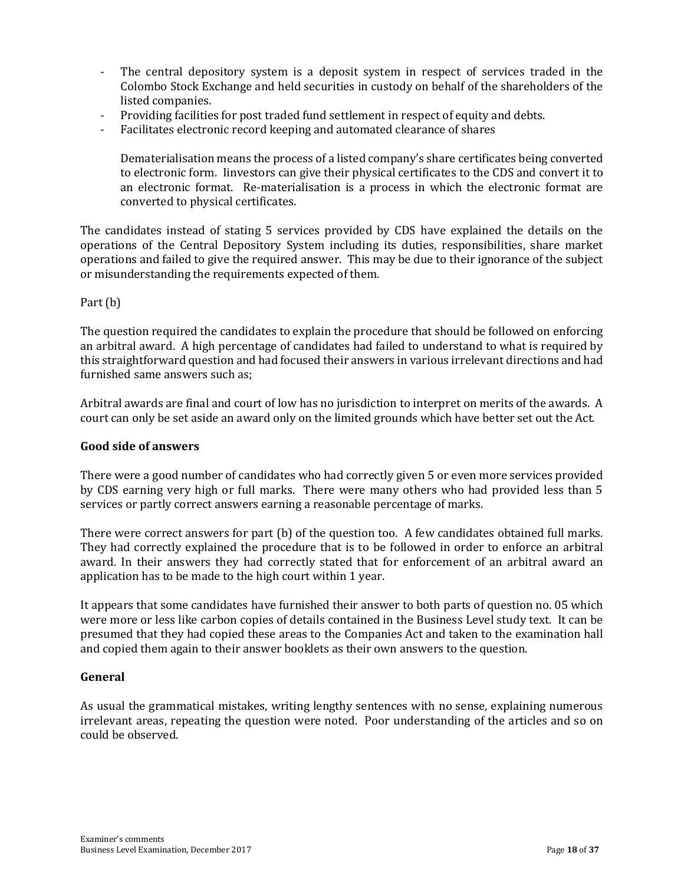- The central depository system is a deposit system in respect of services traded in the Colombo Stock Exchange and held securities in custody on behalf of the shareholders of the listed companies.
- Providing facilities for post traded fund settlement in respect of equity and debts.
- Facilitates electronic record keeping and automated clearance of shares

Dematerialisation means the process of a listed company's share certificates being converted to electronic form. Iinvestors can give their physical certificates to the CDS and convert it to an electronic format. Re-materialisation is a process in which the electronic format are converted to physical certificates.

The candidates instead of stating 5 services provided by CDS have explained the details on the operations of the Central Depository System including its duties, responsibilities, share market operations and failed to give the required answer. This may be due to their ignorance of the subject or misunderstanding the requirements expected of them.

Part (b)

The question required the candidates to explain the procedure that should be followed on enforcing an arbitral award. A high percentage of candidates had failed to understand to what is required by this straightforward question and had focused their answers in various irrelevant directions and had furnished same answers such as;

Arbitral awards are final and court of low has no jurisdiction to interpret on merits of the awards. A court can only be set aside an award only on the limited grounds which have better set out the Act.

#### **Good side of answers**

There were a good number of candidates who had correctly given 5 or even more services provided by CDS earning very high or full marks. There were many others who had provided less than 5 services or partly correct answers earning a reasonable percentage of marks.

There were correct answers for part (b) of the question too. A few candidates obtained full marks. They had correctly explained the procedure that is to be followed in order to enforce an arbitral award. In their answers they had correctly stated that for enforcement of an arbitral award an application has to be made to the high court within 1 year.

It appears that some candidates have furnished their answer to both parts of question no. 05 which were more or less like carbon copies of details contained in the Business Level study text. It can be presumed that they had copied these areas to the Companies Act and taken to the examination hall and copied them again to their answer booklets as their own answers to the question.

#### **General**

As usual the grammatical mistakes, writing lengthy sentences with no sense, explaining numerous irrelevant areas, repeating the question were noted. Poor understanding of the articles and so on could be observed.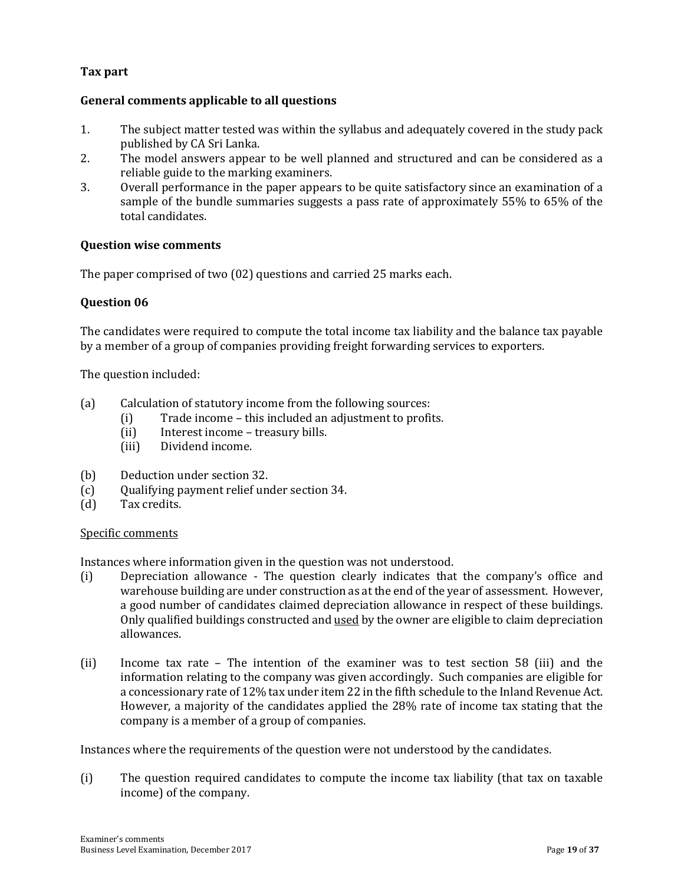#### **Tax part**

#### **General comments applicable to all questions**

- 1. The subject matter tested was within the syllabus and adequately covered in the study pack published by CA Sri Lanka.
- 2. The model answers appear to be well planned and structured and can be considered as a reliable guide to the marking examiners.
- 3. Overall performance in the paper appears to be quite satisfactory since an examination of a sample of the bundle summaries suggests a pass rate of approximately 55% to 65% of the total candidates.

#### **Question wise comments**

The paper comprised of two (02) questions and carried 25 marks each.

#### **Question 06**

The candidates were required to compute the total income tax liability and the balance tax payable by a member of a group of companies providing freight forwarding services to exporters.

The question included:

- (a) Calculation of statutory income from the following sources:
	- (i) Trade income this included an adjustment to profits.
	- (ii) Interest income treasury bills.
	- (iii) Dividend income.
- (b) Deduction under section 32.
- (c) Qualifying payment relief under section 34.
- (d) Tax credits.

#### Specific comments

Instances where information given in the question was not understood.

- (i) Depreciation allowance The question clearly indicates that the company's office and warehouse building are under construction as at the end of the year of assessment. However, a good number of candidates claimed depreciation allowance in respect of these buildings. Only qualified buildings constructed and used by the owner are eligible to claim depreciation allowances.
- (ii) Income tax rate The intention of the examiner was to test section 58 (iii) and the information relating to the company was given accordingly. Such companies are eligible for a concessionary rate of 12% tax under item 22 in the fifth schedule to the Inland Revenue Act. However, a majority of the candidates applied the 28% rate of income tax stating that the company is a member of a group of companies.

Instances where the requirements of the question were not understood by the candidates.

(i) The question required candidates to compute the income tax liability (that tax on taxable income) of the company.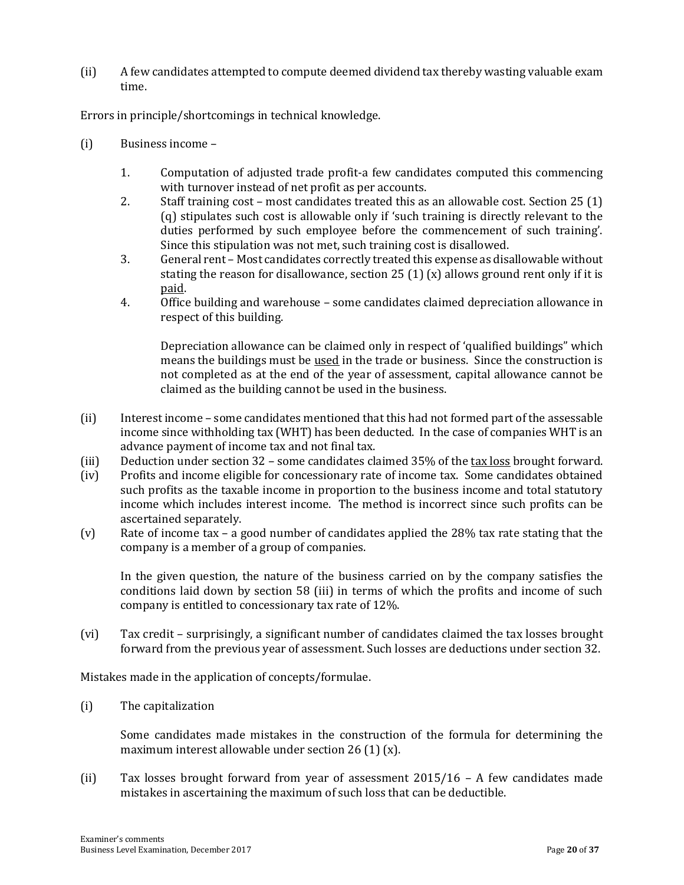(ii) A few candidates attempted to compute deemed dividend tax thereby wasting valuable exam time.

Errors in principle/shortcomings in technical knowledge.

- (i) Business income
	- 1. Computation of adjusted trade profit-a few candidates computed this commencing with turnover instead of net profit as per accounts.
	- 2. Staff training cost most candidates treated this as an allowable cost. Section 25 (1) (q) stipulates such cost is allowable only if 'such training is directly relevant to the duties performed by such employee before the commencement of such training'. Since this stipulation was not met, such training cost is disallowed.
	- 3. General rent Most candidates correctly treated this expense as disallowable without stating the reason for disallowance, section 25 (1) (x) allows ground rent only if it is paid.
	- 4. Office building and warehouse some candidates claimed depreciation allowance in respect of this building.

Depreciation allowance can be claimed only in respect of 'qualified buildings" which means the buildings must be used in the trade or business. Since the construction is not completed as at the end of the year of assessment, capital allowance cannot be claimed as the building cannot be used in the business.

- (ii) Interest income some candidates mentioned that this had not formed part of the assessable income since withholding tax (WHT) has been deducted. In the case of companies WHT is an advance payment of income tax and not final tax.
- (iii) Deduction under section 32 some candidates claimed 35% of the tax loss brought forward.
- (iv) Profits and income eligible for concessionary rate of income tax. Some candidates obtained such profits as the taxable income in proportion to the business income and total statutory income which includes interest income. The method is incorrect since such profits can be ascertained separately.
- (v) Rate of income tax a good number of candidates applied the 28% tax rate stating that the company is a member of a group of companies.

In the given question, the nature of the business carried on by the company satisfies the conditions laid down by section 58 (iii) in terms of which the profits and income of such company is entitled to concessionary tax rate of 12%.

(vi) Tax credit – surprisingly, a significant number of candidates claimed the tax losses brought forward from the previous year of assessment. Such losses are deductions under section 32.

Mistakes made in the application of concepts/formulae.

(i) The capitalization

Some candidates made mistakes in the construction of the formula for determining the maximum interest allowable under section 26 (1) (x).

(ii) Tax losses brought forward from year of assessment 2015/16 – A few candidates made mistakes in ascertaining the maximum of such loss that can be deductible.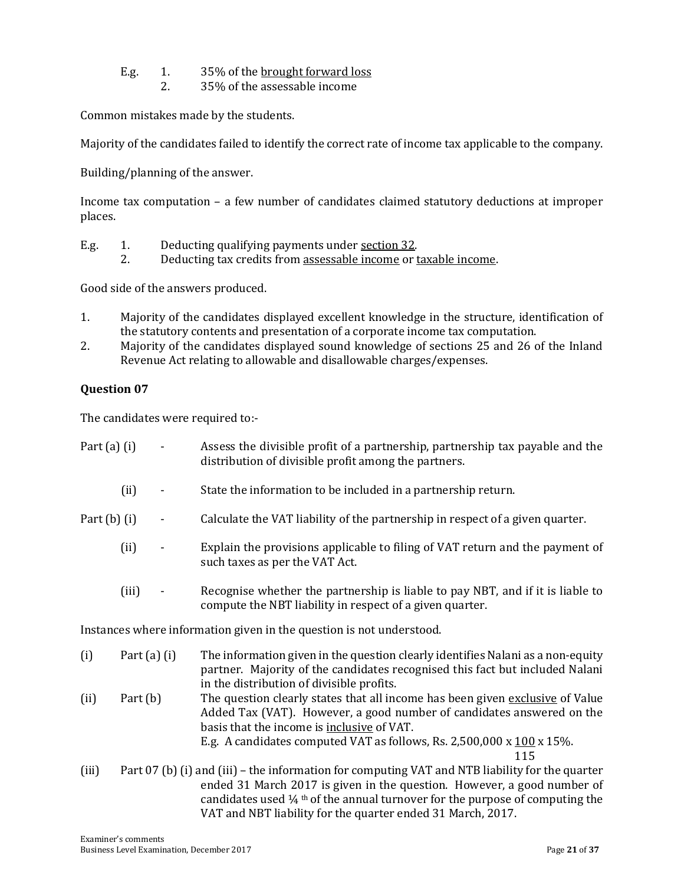- E.g. 1. 35% of the <u>brought forward loss</u>
	- 2. 35% of the assessable income

Common mistakes made by the students.

Majority of the candidates failed to identify the correct rate of income tax applicable to the company.

Building/planning of the answer.

Income tax computation – a few number of candidates claimed statutory deductions at improper places.

- E.g. 1. Deducting qualifying payments under section 32.
	- 2. Deducting tax credits from assessable income or taxable income.

Good side of the answers produced.

- 1. Majority of the candidates displayed excellent knowledge in the structure, identification of the statutory contents and presentation of a corporate income tax computation.
- 2. Majority of the candidates displayed sound knowledge of sections 25 and 26 of the Inland Revenue Act relating to allowable and disallowable charges/expenses.

#### **Question 07**

The candidates were required to:-

| Part $(a)$ $(i)$                                                     |                  |   | Assess the divisible profit of a partnership, partnership tax payable and the<br>distribution of divisible profit among the partners.                                                                                                                                             |
|----------------------------------------------------------------------|------------------|---|-----------------------------------------------------------------------------------------------------------------------------------------------------------------------------------------------------------------------------------------------------------------------------------|
|                                                                      | (ii)             |   | State the information to be included in a partnership return.                                                                                                                                                                                                                     |
| Part $(b)$ $(i)$                                                     |                  | ۰ | Calculate the VAT liability of the partnership in respect of a given quarter.                                                                                                                                                                                                     |
|                                                                      | (ii)             |   | Explain the provisions applicable to filing of VAT return and the payment of<br>such taxes as per the VAT Act.                                                                                                                                                                    |
|                                                                      | (iii)            |   | Recognise whether the partnership is liable to pay NBT, and if it is liable to<br>compute the NBT liability in respect of a given quarter.                                                                                                                                        |
| Instances where information given in the question is not understood. |                  |   |                                                                                                                                                                                                                                                                                   |
| (i)                                                                  | Part $(a)$ $(i)$ |   | The information given in the question clearly identifies Nalani as a non-equity<br>partner. Majority of the candidates recognised this fact but included Nalani<br>in the distribution of divisible profits.                                                                      |
| (ii)                                                                 | Part $(b)$       |   | The question clearly states that all income has been given exclusive of Value<br>Added Tax (VAT). However, a good number of candidates answered on the<br>basis that the income is inclusive of VAT.                                                                              |
|                                                                      |                  |   | E.g. A candidates computed VAT as follows, Rs. 2,500,000 x $100 \times 15\%$ .<br>115                                                                                                                                                                                             |
| (iii)                                                                |                  |   | Part 07 (b) (i) and (iii) – the information for computing VAT and NTB liability for the quarter<br>ended 31 March 2017 is given in the question. However, a good number of<br>candidates used $\frac{1}{4}$ <sup>th</sup> of the annual turnover for the purpose of computing the |

VAT and NBT liability for the quarter ended 31 March, 2017.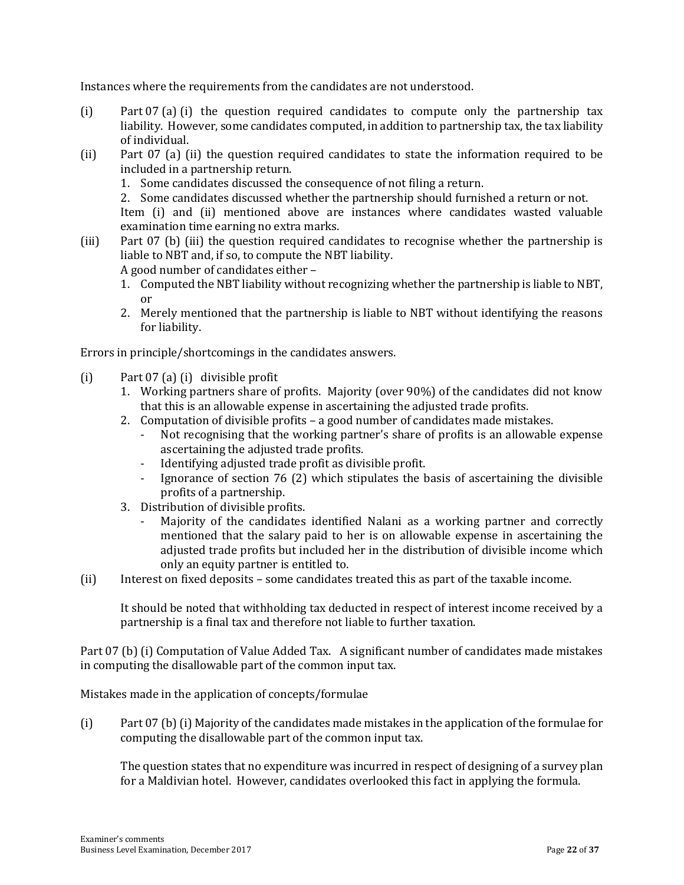Instances where the requirements from the candidates are not understood.

- (i) Part 07 (a) (i) the question required candidates to compute only the partnership tax liability. However, some candidates computed, in addition to partnership tax, the tax liability of individual.
- (ii) Part 07 (a) (ii) the question required candidates to state the information required to be included in a partnership return.
	- 1. Some candidates discussed the consequence of not filing a return.

2. Some candidates discussed whether the partnership should furnished a return or not.

Item (i) and (ii) mentioned above are instances where candidates wasted valuable examination time earning no extra marks.

(iii) Part 07 (b) (iii) the question required candidates to recognise whether the partnership is liable to NBT and, if so, to compute the NBT liability.

A good number of candidates either –

- 1. Computed the NBT liability without recognizing whether the partnership is liable to NBT, or
- 2. Merely mentioned that the partnership is liable to NBT without identifying the reasons for liability.

Errors in principle/shortcomings in the candidates answers.

- (i) Part 07 (a) (i) divisible profit
	- 1. Working partners share of profits. Majority (over 90%) of the candidates did not know that this is an allowable expense in ascertaining the adjusted trade profits.
	- 2. Computation of divisible profits a good number of candidates made mistakes.
		- Not recognising that the working partner's share of profits is an allowable expense ascertaining the adjusted trade profits.
		- Identifying adjusted trade profit as divisible profit.
		- Ignorance of section 76 (2) which stipulates the basis of ascertaining the divisible profits of a partnership.
	- 3. Distribution of divisible profits.
		- Majority of the candidates identified Nalani as a working partner and correctly mentioned that the salary paid to her is on allowable expense in ascertaining the adjusted trade profits but included her in the distribution of divisible income which only an equity partner is entitled to.
- (ii) Interest on fixed deposits some candidates treated this as part of the taxable income.

It should be noted that withholding tax deducted in respect of interest income received by a partnership is a final tax and therefore not liable to further taxation.

Part 07 (b) (i) Computation of Value Added Tax. A significant number of candidates made mistakes in computing the disallowable part of the common input tax.

Mistakes made in the application of concepts/formulae

(i) Part 07 (b) (i) Majority of the candidates made mistakes in the application of the formulae for computing the disallowable part of the common input tax.

The question states that no expenditure was incurred in respect of designing of a survey plan for a Maldivian hotel. However, candidates overlooked this fact in applying the formula.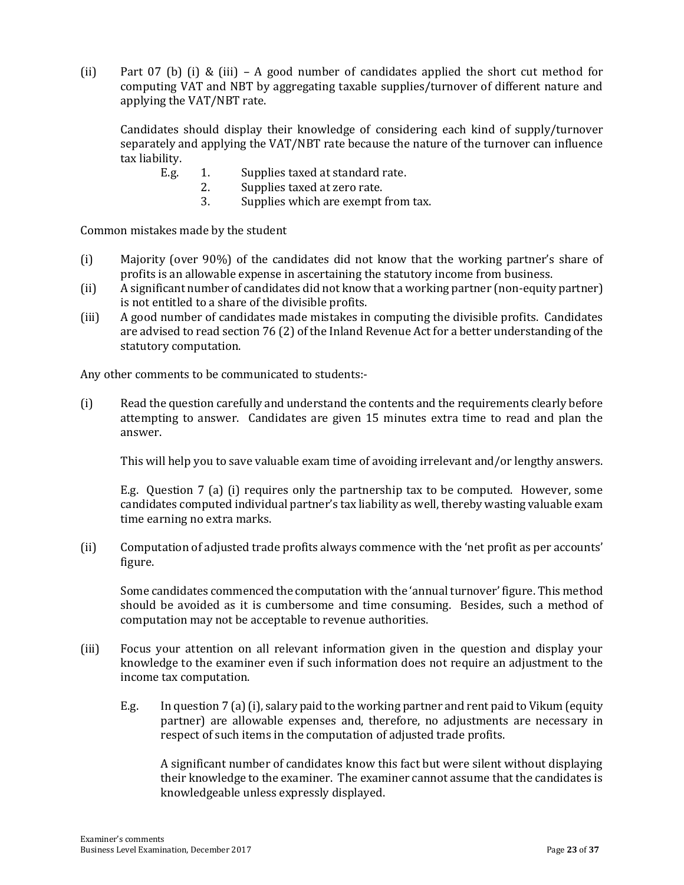(ii) Part 07 (b) (i) & (iii) – A good number of candidates applied the short cut method for computing VAT and NBT by aggregating taxable supplies/turnover of different nature and applying the VAT/NBT rate.

Candidates should display their knowledge of considering each kind of supply/turnover separately and applying the VAT/NBT rate because the nature of the turnover can influence tax liability.

- E.g. 1. Supplies taxed at standard rate.
	- 2. Supplies taxed at zero rate.
	- 3. Supplies which are exempt from tax.

Common mistakes made by the student

- (i) Majority (over 90%) of the candidates did not know that the working partner's share of profits is an allowable expense in ascertaining the statutory income from business.
- (ii) A significant number of candidates did not know that a working partner (non-equity partner) is not entitled to a share of the divisible profits.
- (iii) A good number of candidates made mistakes in computing the divisible profits. Candidates are advised to read section 76 (2) of the Inland Revenue Act for a better understanding of the statutory computation.

Any other comments to be communicated to students:-

(i) Read the question carefully and understand the contents and the requirements clearly before attempting to answer. Candidates are given 15 minutes extra time to read and plan the answer.

This will help you to save valuable exam time of avoiding irrelevant and/or lengthy answers.

E.g. Question 7 (a) (i) requires only the partnership tax to be computed. However, some candidates computed individual partner's tax liability as well, thereby wasting valuable exam time earning no extra marks.

(ii) Computation of adjusted trade profits always commence with the 'net profit as per accounts' figure.

Some candidates commenced the computation with the 'annual turnover' figure. This method should be avoided as it is cumbersome and time consuming. Besides, such a method of computation may not be acceptable to revenue authorities.

- (iii) Focus your attention on all relevant information given in the question and display your knowledge to the examiner even if such information does not require an adjustment to the income tax computation.
	- E.g. In question 7 (a) (i), salary paid to the working partner and rent paid to Vikum (equity partner) are allowable expenses and, therefore, no adjustments are necessary in respect of such items in the computation of adjusted trade profits.

A significant number of candidates know this fact but were silent without displaying their knowledge to the examiner. The examiner cannot assume that the candidates is knowledgeable unless expressly displayed.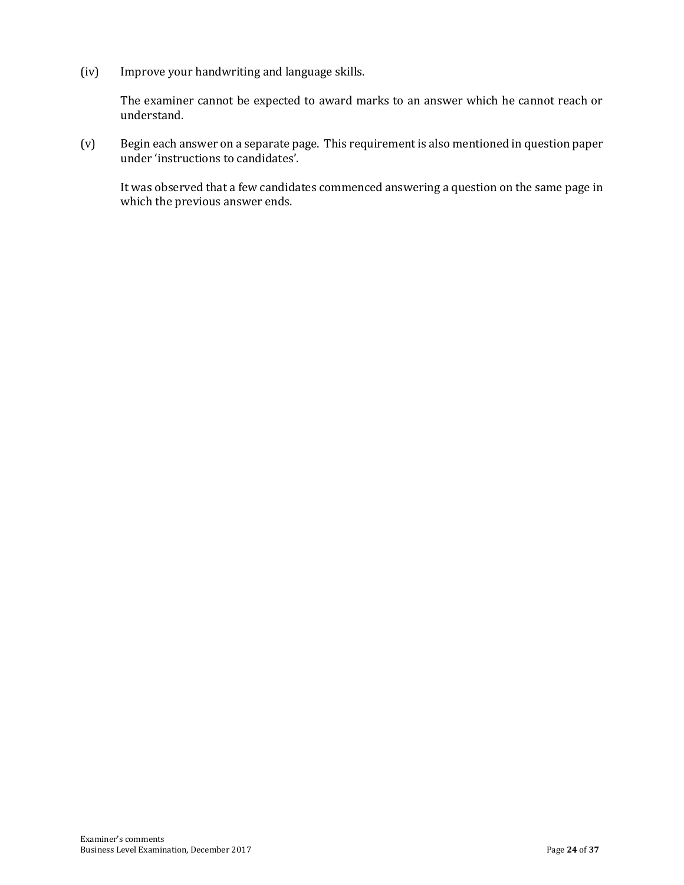(iv) Improve your handwriting and language skills.

The examiner cannot be expected to award marks to an answer which he cannot reach or understand.

(v) Begin each answer on a separate page. This requirement is also mentioned in question paper under 'instructions to candidates'.

It was observed that a few candidates commenced answering a question on the same page in which the previous answer ends.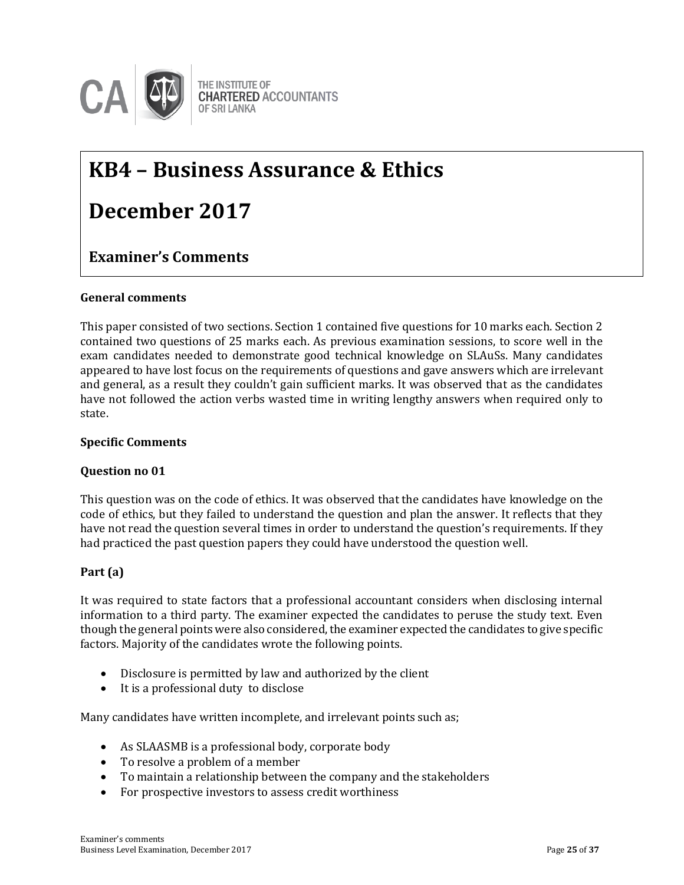

## **KB4 – Business Assurance & Ethics**

## **December 2017**

#### $\mathbf{S}$ **Examiner's Comments**

#### **General comments**

This paper consisted of two sections. Section 1 contained five questions for 10 marks each. Section 2 contained two questions of 25 marks each. As previous examination sessions, to score well in the exam candidates needed to demonstrate good technical knowledge on SLAuSs. Many candidates appeared to have lost focus on the requirements of questions and gave answers which are irrelevant and general, as a result they couldn't gain sufficient marks. It was observed that as the candidates have not followed the action verbs wasted time in writing lengthy answers when required only to state.

#### **Specific Comments**

#### **Question no 01**

This question was on the code of ethics. It was observed that the candidates have knowledge on the code of ethics, but they failed to understand the question and plan the answer. It reflects that they have not read the question several times in order to understand the question's requirements. If they had practiced the past question papers they could have understood the question well.

#### **Part (a)**

It was required to state factors that a professional accountant considers when disclosing internal information to a third party. The examiner expected the candidates to peruse the study text. Even though the general points were also considered, the examiner expected the candidates to give specific factors. Majority of the candidates wrote the following points.

- Disclosure is permitted by law and authorized by the client
- It is a professional duty to disclose

Many candidates have written incomplete, and irrelevant points such as;

- As SLAASMB is a professional body, corporate body
- To resolve a problem of a member
- To maintain a relationship between the company and the stakeholders
- For prospective investors to assess credit worthiness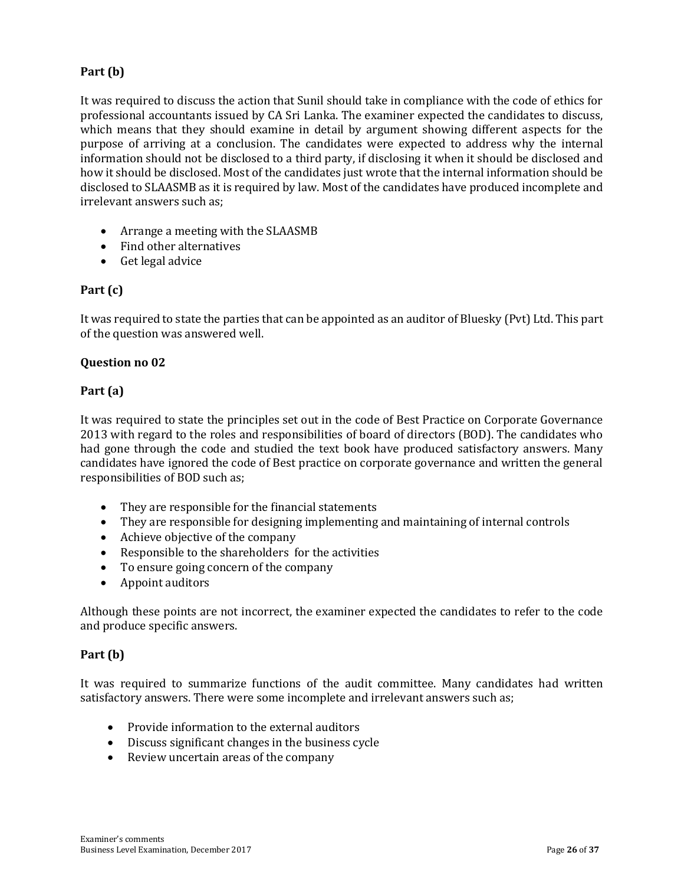#### **Part (b)**

It was required to discuss the action that Sunil should take in compliance with the code of ethics for professional accountants issued by CA Sri Lanka. The examiner expected the candidates to discuss, which means that they should examine in detail by argument showing different aspects for the purpose of arriving at a conclusion. The candidates were expected to address why the internal information should not be disclosed to a third party, if disclosing it when it should be disclosed and how it should be disclosed. Most of the candidates just wrote that the internal information should be disclosed to SLAASMB as it is required by law. Most of the candidates have produced incomplete and irrelevant answers such as;

- Arrange a meeting with the SLAASMB
- Find other alternatives
- Get legal advice

#### **Part (c)**

It was required to state the parties that can be appointed as an auditor of Bluesky (Pvt) Ltd. This part of the question was answered well.

#### **Question no 02**

#### **Part (a)**

It was required to state the principles set out in the code of Best Practice on Corporate Governance 2013 with regard to the roles and responsibilities of board of directors (BOD). The candidates who had gone through the code and studied the text book have produced satisfactory answers. Many candidates have ignored the code of Best practice on corporate governance and written the general responsibilities of BOD such as;

- They are responsible for the financial statements
- They are responsible for designing implementing and maintaining of internal controls
- Achieve objective of the company
- Responsible to the shareholders for the activities
- To ensure going concern of the company
- Appoint auditors

Although these points are not incorrect, the examiner expected the candidates to refer to the code and produce specific answers.

#### **Part (b)**

It was required to summarize functions of the audit committee. Many candidates had written satisfactory answers. There were some incomplete and irrelevant answers such as;

- Provide information to the external auditors
- Discuss significant changes in the business cycle
- Review uncertain areas of the company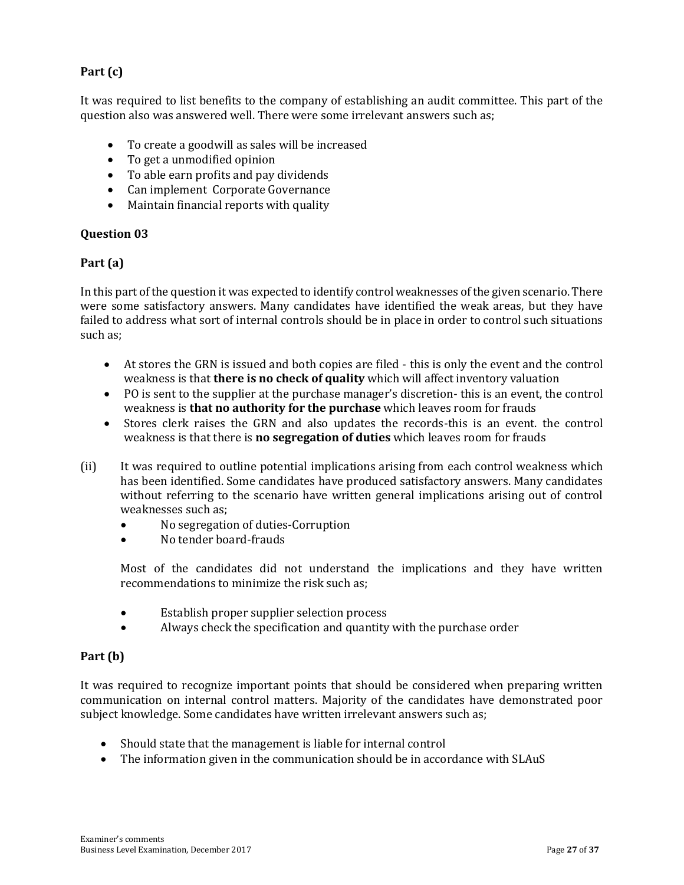#### **Part (c)**

It was required to list benefits to the company of establishing an audit committee. This part of the question also was answered well. There were some irrelevant answers such as;

- To create a goodwill as sales will be increased
- To get a unmodified opinion
- To able earn profits and pay dividends
- Can implement Corporate Governance
- Maintain financial reports with quality

#### **Question 03**

#### **Part (a)**

In this part of the question it was expected to identify control weaknesses of the given scenario. There were some satisfactory answers. Many candidates have identified the weak areas, but they have failed to address what sort of internal controls should be in place in order to control such situations such as;

- At stores the GRN is issued and both copies are filed this is only the event and the control weakness is that **there is no check of quality** which will affect inventory valuation
- PO is sent to the supplier at the purchase manager's discretion- this is an event, the control weakness is **that no authority for the purchase** which leaves room for frauds
- Stores clerk raises the GRN and also updates the records-this is an event. the control weakness is that there is **no segregation of duties** which leaves room for frauds
- (ii) It was required to outline potential implications arising from each control weakness which has been identified. Some candidates have produced satisfactory answers. Many candidates without referring to the scenario have written general implications arising out of control weaknesses such as;
	- No segregation of duties-Corruption
	- No tender board-frauds

Most of the candidates did not understand the implications and they have written recommendations to minimize the risk such as;

- Establish proper supplier selection process
- Always check the specification and quantity with the purchase order

#### **Part (b)**

It was required to recognize important points that should be considered when preparing written communication on internal control matters. Majority of the candidates have demonstrated poor subject knowledge. Some candidates have written irrelevant answers such as;

- Should state that the management is liable for internal control
- The information given in the communication should be in accordance with SLAuS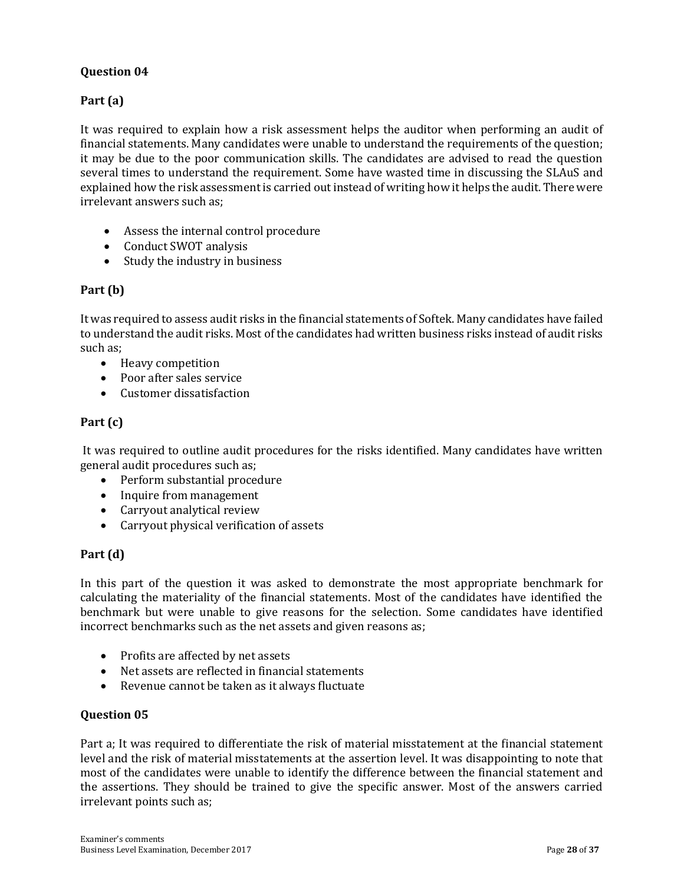#### **Question 04**

#### **Part (a)**

It was required to explain how a risk assessment helps the auditor when performing an audit of financial statements. Many candidates were unable to understand the requirements of the question; it may be due to the poor communication skills. The candidates are advised to read the question several times to understand the requirement. Some have wasted time in discussing the SLAuS and explained how the risk assessment is carried out instead of writing how it helps the audit. There were irrelevant answers such as;

- Assess the internal control procedure
- Conduct SWOT analysis
- Study the industry in business

#### **Part (b)**

It was required to assess audit risks in the financial statements of Softek. Many candidates have failed to understand the audit risks. Most of the candidates had written business risks instead of audit risks such as;

- Heavy competition
- Poor after sales service
- Customer dissatisfaction

#### **Part (c)**

It was required to outline audit procedures for the risks identified. Many candidates have written general audit procedures such as;

- Perform substantial procedure
- Inquire from management
- Carryout analytical review
- Carryout physical verification of assets

#### **Part (d)**

In this part of the question it was asked to demonstrate the most appropriate benchmark for calculating the materiality of the financial statements. Most of the candidates have identified the benchmark but were unable to give reasons for the selection. Some candidates have identified incorrect benchmarks such as the net assets and given reasons as;

- Profits are affected by net assets
- Net assets are reflected in financial statements
- Revenue cannot be taken as it always fluctuate

#### **Question 05**

Part a; It was required to differentiate the risk of material misstatement at the financial statement level and the risk of material misstatements at the assertion level. It was disappointing to note that most of the candidates were unable to identify the difference between the financial statement and the assertions. They should be trained to give the specific answer. Most of the answers carried irrelevant points such as;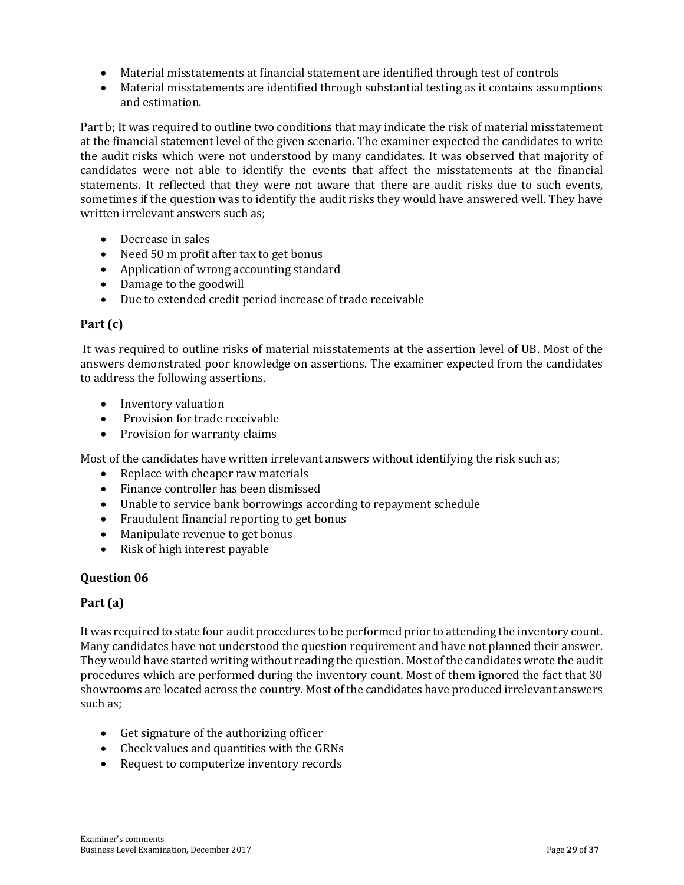- Material misstatements at financial statement are identified through test of controls
- Material misstatements are identified through substantial testing as it contains assumptions and estimation.

Part b; It was required to outline two conditions that may indicate the risk of material misstatement at the financial statement level of the given scenario. The examiner expected the candidates to write the audit risks which were not understood by many candidates. It was observed that majority of candidates were not able to identify the events that affect the misstatements at the financial statements. It reflected that they were not aware that there are audit risks due to such events, sometimes if the question was to identify the audit risks they would have answered well. They have written irrelevant answers such as;

- Decrease in sales
- Need 50 m profit after tax to get bonus
- Application of wrong accounting standard
- Damage to the goodwill
- Due to extended credit period increase of trade receivable

#### **Part (c)**

It was required to outline risks of material misstatements at the assertion level of UB. Most of the answers demonstrated poor knowledge on assertions. The examiner expected from the candidates to address the following assertions.

- Inventory valuation
- Provision for trade receivable
- Provision for warranty claims

Most of the candidates have written irrelevant answers without identifying the risk such as;

- Replace with cheaper raw materials
- Finance controller has been dismissed
- Unable to service bank borrowings according to repayment schedule
- Fraudulent financial reporting to get bonus
- Manipulate revenue to get bonus
- Risk of high interest payable

#### **Question 06**

#### **Part (a)**

It was required to state four audit procedures to be performed prior to attending the inventory count. Many candidates have not understood the question requirement and have not planned their answer. They would have started writing without reading the question. Most of the candidates wrote the audit procedures which are performed during the inventory count. Most of them ignored the fact that 30 showrooms are located across the country. Most of the candidates have produced irrelevant answers such as;

- Get signature of the authorizing officer
- Check values and quantities with the GRNs
- Request to computerize inventory records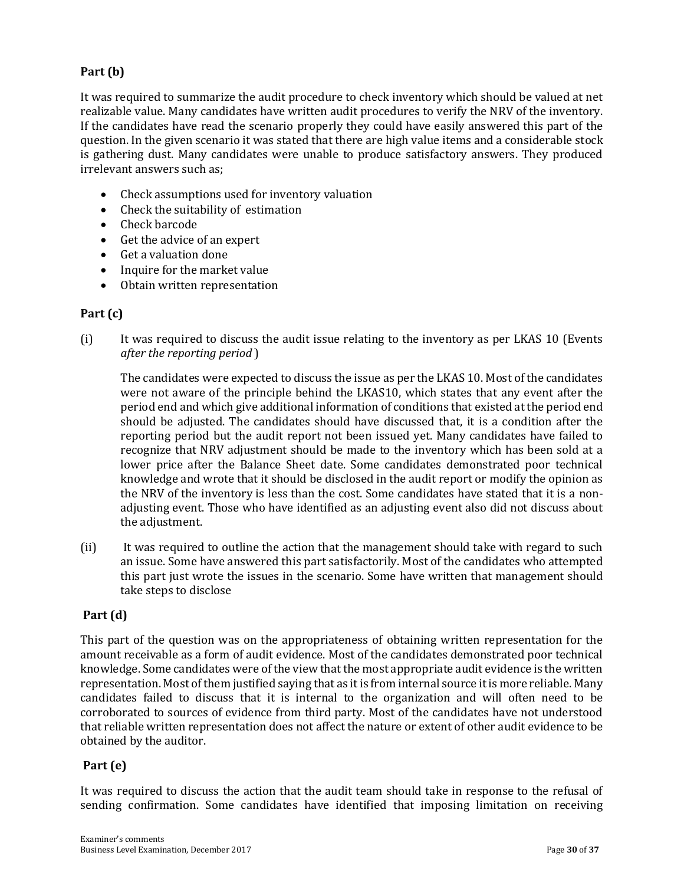#### **Part (b)**

It was required to summarize the audit procedure to check inventory which should be valued at net realizable value. Many candidates have written audit procedures to verify the NRV of the inventory. If the candidates have read the scenario properly they could have easily answered this part of the question. In the given scenario it was stated that there are high value items and a considerable stock is gathering dust. Many candidates were unable to produce satisfactory answers. They produced irrelevant answers such as;

- Check assumptions used for inventory valuation
- Check the suitability of estimation
- Check barcode
- Get the advice of an expert
- Get a valuation done
- Inquire for the market value
- Obtain written representation

#### **Part (c)**

(i) It was required to discuss the audit issue relating to the inventory as per LKAS 10 (Events *after the reporting period* )

The candidates were expected to discuss the issue as per the LKAS 10. Most of the candidates were not aware of the principle behind the LKAS10, which states that any event after the period end and which give additional information of conditions that existed at the period end should be adjusted. The candidates should have discussed that, it is a condition after the reporting period but the audit report not been issued yet. Many candidates have failed to recognize that NRV adjustment should be made to the inventory which has been sold at a lower price after the Balance Sheet date. Some candidates demonstrated poor technical knowledge and wrote that it should be disclosed in the audit report or modify the opinion as the NRV of the inventory is less than the cost. Some candidates have stated that it is a nonadjusting event. Those who have identified as an adjusting event also did not discuss about the adjustment.

(ii) It was required to outline the action that the management should take with regard to such an issue. Some have answered this part satisfactorily. Most of the candidates who attempted this part just wrote the issues in the scenario. Some have written that management should take steps to disclose

#### **Part (d)**

This part of the question was on the appropriateness of obtaining written representation for the amount receivable as a form of audit evidence. Most of the candidates demonstrated poor technical knowledge. Some candidates were of the view that the most appropriate audit evidence is the written representation. Most of them justified saying that as it is from internal source it is more reliable. Many candidates failed to discuss that it is internal to the organization and will often need to be corroborated to sources of evidence from third party. Most of the candidates have not understood that reliable written representation does not affect the nature or extent of other audit evidence to be obtained by the auditor.

#### **Part (e)**

It was required to discuss the action that the audit team should take in response to the refusal of sending confirmation. Some candidates have identified that imposing limitation on receiving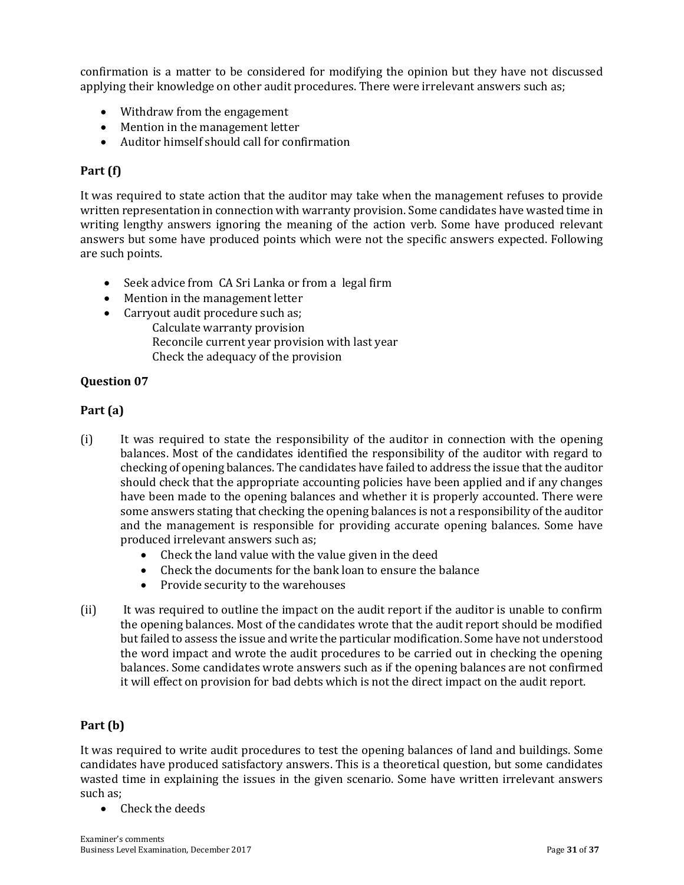confirmation is a matter to be considered for modifying the opinion but they have not discussed applying their knowledge on other audit procedures. There were irrelevant answers such as;

- Withdraw from the engagement
- Mention in the management letter
- Auditor himself should call for confirmation

#### **Part (f)**

It was required to state action that the auditor may take when the management refuses to provide written representation in connection with warranty provision. Some candidates have wasted time in writing lengthy answers ignoring the meaning of the action verb. Some have produced relevant answers but some have produced points which were not the specific answers expected. Following are such points.

- Seek advice from CA Sri Lanka or from a legal firm
- Mention in the management letter
- Carryout audit procedure such as; Calculate warranty provision Reconcile current year provision with last year Check the adequacy of the provision

#### **Question 07**

#### **Part (a)**

- (i) It was required to state the responsibility of the auditor in connection with the opening balances. Most of the candidates identified the responsibility of the auditor with regard to checking of opening balances. The candidates have failed to address the issue that the auditor should check that the appropriate accounting policies have been applied and if any changes have been made to the opening balances and whether it is properly accounted. There were some answers stating that checking the opening balances is not a responsibility of the auditor and the management is responsible for providing accurate opening balances. Some have produced irrelevant answers such as;
	- Check the land value with the value given in the deed
	- Check the documents for the bank loan to ensure the balance
	- Provide security to the warehouses
- (ii) It was required to outline the impact on the audit report if the auditor is unable to confirm the opening balances. Most of the candidates wrote that the audit report should be modified but failed to assess the issue and write the particular modification. Some have not understood the word impact and wrote the audit procedures to be carried out in checking the opening balances. Some candidates wrote answers such as if the opening balances are not confirmed it will effect on provision for bad debts which is not the direct impact on the audit report.

#### **Part (b)**

It was required to write audit procedures to test the opening balances of land and buildings. Some candidates have produced satisfactory answers. This is a theoretical question, but some candidates wasted time in explaining the issues in the given scenario. Some have written irrelevant answers such as;

• Check the deeds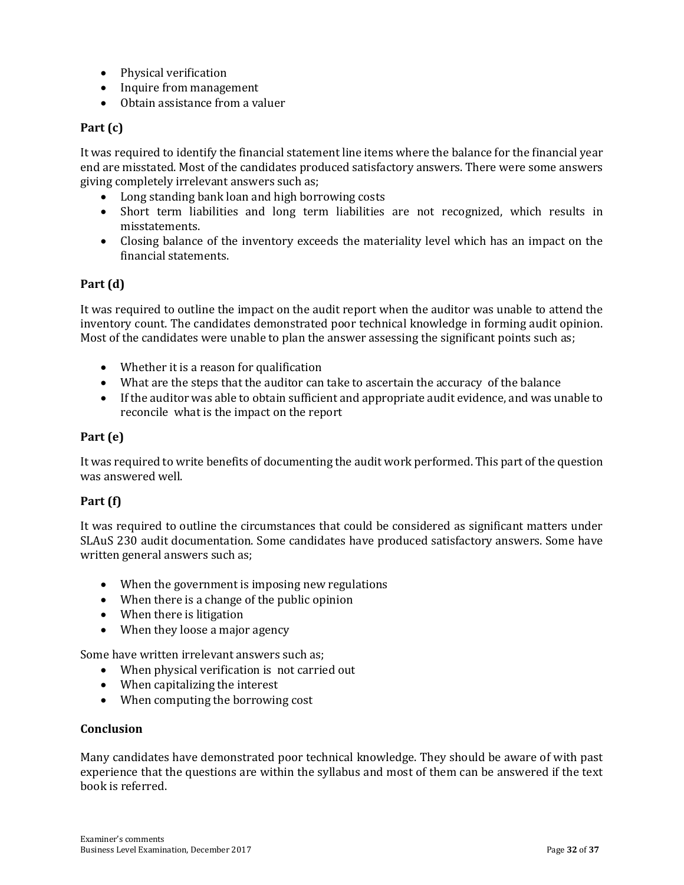- Physical verification
- Inquire from management
- Obtain assistance from a valuer

#### **Part (c)**

It was required to identify the financial statement line items where the balance for the financial year end are misstated. Most of the candidates produced satisfactory answers. There were some answers giving completely irrelevant answers such as;

- Long standing bank loan and high borrowing costs
- Short term liabilities and long term liabilities are not recognized, which results in misstatements.
- Closing balance of the inventory exceeds the materiality level which has an impact on the financial statements.

#### **Part (d)**

It was required to outline the impact on the audit report when the auditor was unable to attend the inventory count. The candidates demonstrated poor technical knowledge in forming audit opinion. Most of the candidates were unable to plan the answer assessing the significant points such as;

- Whether it is a reason for qualification
- What are the steps that the auditor can take to ascertain the accuracy of the balance
- If the auditor was able to obtain sufficient and appropriate audit evidence, and was unable to reconcile what is the impact on the report

#### **Part (e)**

It was required to write benefits of documenting the audit work performed. This part of the question was answered well.

#### **Part (f)**

It was required to outline the circumstances that could be considered as significant matters under SLAuS 230 audit documentation. Some candidates have produced satisfactory answers. Some have written general answers such as;

- When the government is imposing new regulations
- When there is a change of the public opinion
- When there is litigation
- When they loose a major agency

Some have written irrelevant answers such as;

- When physical verification is not carried out
- When capitalizing the interest
- When computing the borrowing cost

#### **Conclusion**

Many candidates have demonstrated poor technical knowledge. They should be aware of with past experience that the questions are within the syllabus and most of them can be answered if the text book is referred.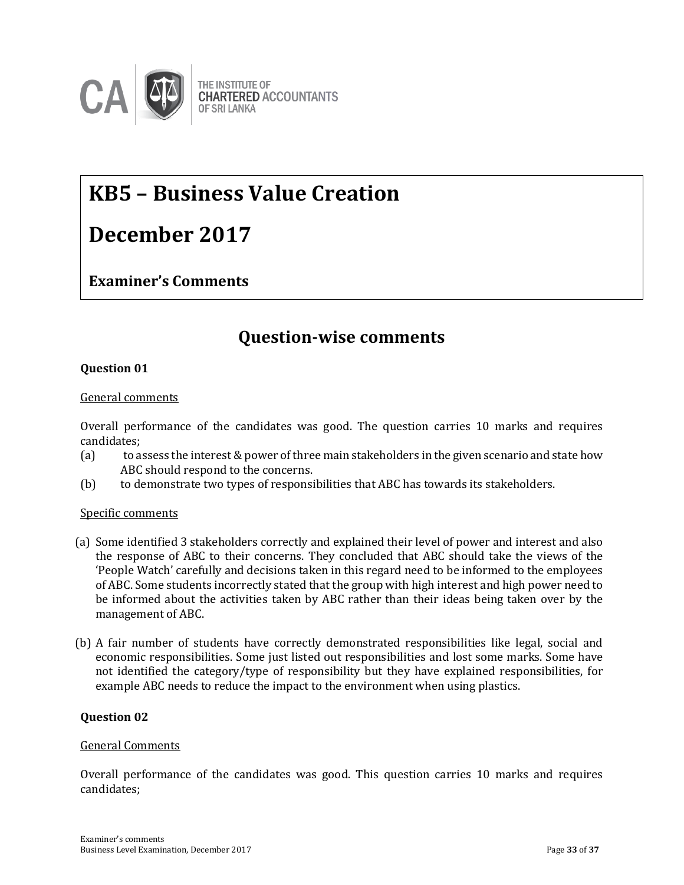

## **KB5 – Business Value Creation**

## **December 2017**

#### **Examiner's Comments**

### **Question-wise comments**

#### **Question 01**

#### General comments

Overall performance of the candidates was good. The question carries 10 marks and requires candidates;

- (a) to assess the interest & power of three main stakeholders in the given scenario and state how ABC should respond to the concerns.
- (b) to demonstrate two types of responsibilities that ABC has towards its stakeholders.

#### Specific comments

- (a) Some identified 3 stakeholders correctly and explained their level of power and interest and also the response of ABC to their concerns. They concluded that ABC should take the views of the 'People Watch' carefully and decisions taken in this regard need to be informed to the employees of ABC. Some students incorrectly stated that the group with high interest and high power need to be informed about the activities taken by ABC rather than their ideas being taken over by the management of ABC.
- (b) A fair number of students have correctly demonstrated responsibilities like legal, social and economic responsibilities. Some just listed out responsibilities and lost some marks. Some have not identified the category/type of responsibility but they have explained responsibilities, for example ABC needs to reduce the impact to the environment when using plastics.

#### **Question 02**

#### General Comments

Overall performance of the candidates was good. This question carries 10 marks and requires candidates;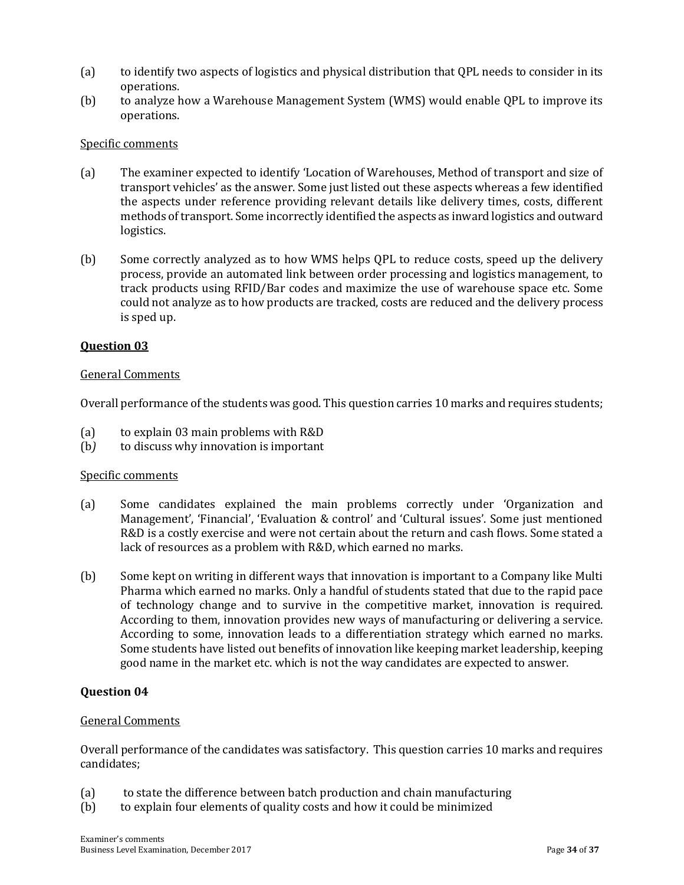- (a) to identify two aspects of logistics and physical distribution that QPL needs to consider in its operations.
- (b) to analyze how a Warehouse Management System (WMS) would enable QPL to improve its operations.

#### Specific comments

- (a) The examiner expected to identify 'Location of Warehouses, Method of transport and size of transport vehicles' as the answer. Some just listed out these aspects whereas a few identified the aspects under reference providing relevant details like delivery times, costs, different methods of transport. Some incorrectly identified the aspects as inward logistics and outward logistics.
- (b) Some correctly analyzed as to how WMS helps QPL to reduce costs, speed up the delivery process, provide an automated link between order processing and logistics management, to track products using RFID/Bar codes and maximize the use of warehouse space etc. Some could not analyze as to how products are tracked, costs are reduced and the delivery process is sped up.

#### **Question 03**

#### General Comments

Overall performance of the students was good. This question carries 10 marks and requires students;

- (a) to explain 03 main problems with R&D
- (b*)* to discuss why innovation is important

#### Specific comments

- (a) Some candidates explained the main problems correctly under 'Organization and Management', 'Financial', 'Evaluation & control' and 'Cultural issues'. Some just mentioned R&D is a costly exercise and were not certain about the return and cash flows. Some stated a lack of resources as a problem with R&D, which earned no marks.
- (b) Some kept on writing in different ways that innovation is important to a Company like Multi Pharma which earned no marks. Only a handful of students stated that due to the rapid pace of technology change and to survive in the competitive market, innovation is required. According to them, innovation provides new ways of manufacturing or delivering a service. According to some, innovation leads to a differentiation strategy which earned no marks. Some students have listed out benefits of innovation like keeping market leadership, keeping good name in the market etc. which is not the way candidates are expected to answer.

#### **Question 04**

#### General Comments

Overall performance of the candidates was satisfactory. This question carries 10 marks and requires candidates;

- (a) to state the difference between batch production and chain manufacturing
- (b) to explain four elements of quality costs and how it could be minimized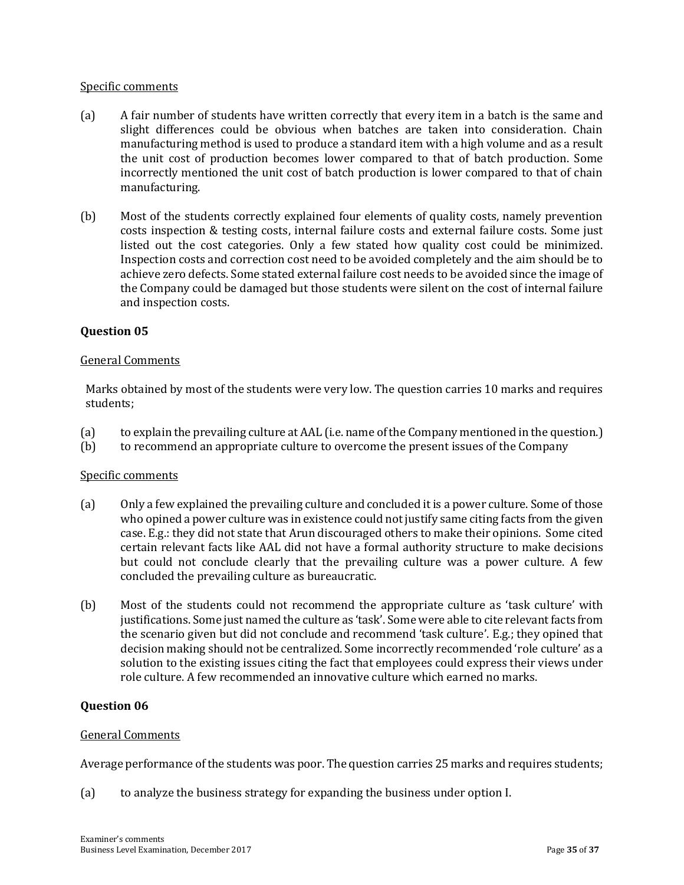#### Specific comments

- (a) A fair number of students have written correctly that every item in a batch is the same and slight differences could be obvious when batches are taken into consideration. Chain manufacturing method is used to produce a standard item with a high volume and as a result the unit cost of production becomes lower compared to that of batch production. Some incorrectly mentioned the unit cost of batch production is lower compared to that of chain manufacturing.
- (b) Most of the students correctly explained four elements of quality costs, namely prevention costs inspection & testing costs, internal failure costs and external failure costs. Some just listed out the cost categories. Only a few stated how quality cost could be minimized. Inspection costs and correction cost need to be avoided completely and the aim should be to achieve zero defects. Some stated external failure cost needs to be avoided since the image of the Company could be damaged but those students were silent on the cost of internal failure and inspection costs.

#### **Question 05**

#### General Comments

Marks obtained by most of the students were very low. The question carries 10 marks and requires students;

- (a) to explain the prevailing culture at AAL (i.e. name of the Company mentioned in the question.)
- (b) to recommend an appropriate culture to overcome the present issues of the Company

#### Specific comments

- (a) Only a few explained the prevailing culture and concluded it is a power culture. Some of those who opined a power culture was in existence could not justify same citing facts from the given case. E.g.: they did not state that Arun discouraged others to make their opinions. Some cited certain relevant facts like AAL did not have a formal authority structure to make decisions but could not conclude clearly that the prevailing culture was a power culture. A few concluded the prevailing culture as bureaucratic.
- (b) Most of the students could not recommend the appropriate culture as 'task culture' with justifications. Some just named the culture as 'task'. Some were able to cite relevant facts from the scenario given but did not conclude and recommend 'task culture'. E.g.; they opined that decision making should not be centralized. Some incorrectly recommended 'role culture' as a solution to the existing issues citing the fact that employees could express their views under role culture. A few recommended an innovative culture which earned no marks.

#### **Question 06**

#### General Comments

Average performance of the students was poor. The question carries 25 marks and requires students;

(a) to analyze the business strategy for expanding the business under option I.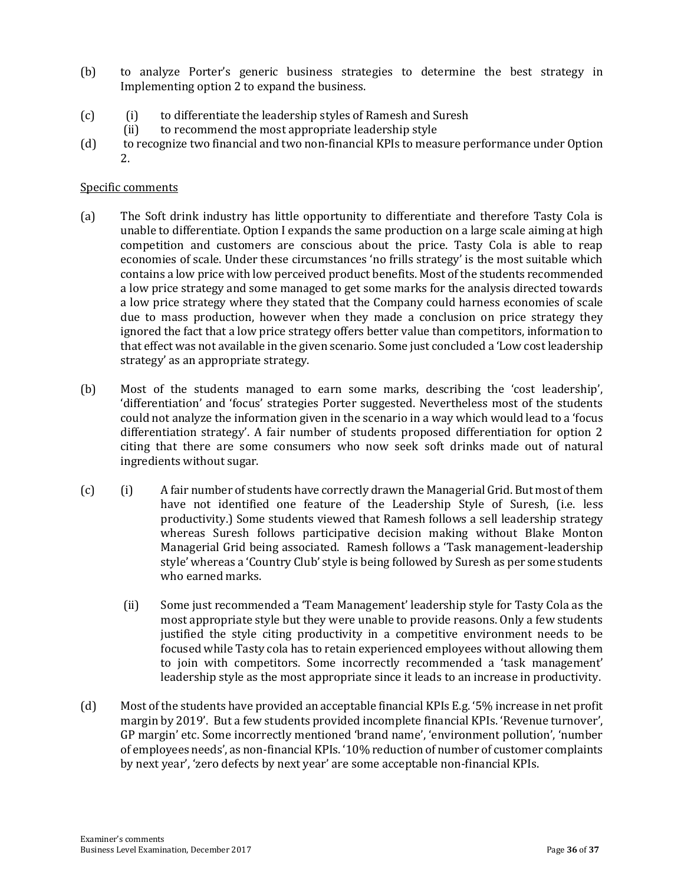- (b) to analyze Porter's generic business strategies to determine the best strategy in Implementing option 2 to expand the business.
- (c) (i) to differentiate the leadership styles of Ramesh and Suresh
	- (ii) to recommend the most appropriate leadership style
- (d)to recognize two financial and two non-financial KPIs to measure performance under Option 2.

#### Specific comments

- (a) The Soft drink industry has little opportunity to differentiate and therefore Tasty Cola is unable to differentiate. Option I expands the same production on a large scale aiming at high competition and customers are conscious about the price. Tasty Cola is able to reap economies of scale. Under these circumstances 'no frills strategy' is the most suitable which contains a low price with low perceived product benefits. Most of the students recommended a low price strategy and some managed to get some marks for the analysis directed towards a low price strategy where they stated that the Company could harness economies of scale due to mass production, however when they made a conclusion on price strategy they ignored the fact that a low price strategy offers better value than competitors, information to that effect was not available in the given scenario. Some just concluded a 'Low cost leadership strategy' as an appropriate strategy.
- (b) Most of the students managed to earn some marks, describing the 'cost leadership', 'differentiation' and 'focus' strategies Porter suggested. Nevertheless most of the students could not analyze the information given in the scenario in a way which would lead to a 'focus differentiation strategy'. A fair number of students proposed differentiation for option 2 citing that there are some consumers who now seek soft drinks made out of natural ingredients without sugar.
- (c) (i) A fair number of students have correctly drawn the Managerial Grid. But most of them have not identified one feature of the Leadership Style of Suresh, (i.e. less productivity.) Some students viewed that Ramesh follows a sell leadership strategy whereas Suresh follows participative decision making without Blake Monton Managerial Grid being associated. Ramesh follows a 'Task management-leadership style' whereas a 'Country Club' style is being followed by Suresh as per some students who earned marks.
	- (ii) Some just recommended a 'Team Management' leadership style for Tasty Cola as the most appropriate style but they were unable to provide reasons. Only a few students justified the style citing productivity in a competitive environment needs to be focused while Tasty cola has to retain experienced employees without allowing them to join with competitors. Some incorrectly recommended a 'task management' leadership style as the most appropriate since it leads to an increase in productivity.
- (d) Most of the students have provided an acceptable financial KPIs E.g. '5% increase in net profit margin by 2019'. But a few students provided incomplete financial KPIs. 'Revenue turnover', GP margin' etc. Some incorrectly mentioned 'brand name', 'environment pollution', 'number of employees needs', as non-financial KPIs. '10% reduction of number of customer complaints by next year', 'zero defects by next year' are some acceptable non-financial KPIs.